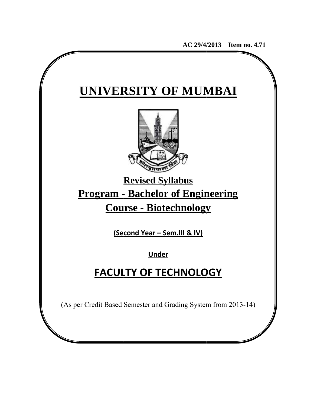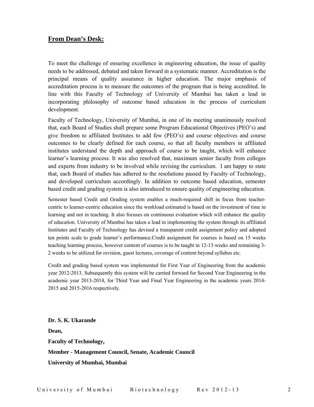### **From Dean's Desk:**

To meet the challenge of ensuring excellence in engineering education, the issue of quality needs to be addressed, debated and taken forward in a systematic manner. Accreditation is the principal means of quality assurance in higher education. The major emphasis of accreditation process is to measure the outcomes of the program that is being accredited. In line with this Faculty of Technology of University of Mumbai has taken a lead in incorporating philosophy of outcome based education in the process of curriculum development.

Faculty of Technology, University of Mumbai, in one of its meeting unanimously resolved that, each Board of Studies shall prepare some Program Educational Objectives (PEO's) and give freedom to affiliated Institutes to add few (PEO's) and course objectives and course outcomes to be clearly defined for each course, so that all faculty members in affiliated institutes understand the depth and approach of course to be taught, which will enhance learner's learning process. It was also resolved that, maximum senior faculty from colleges and experts from industry to be involved while revising the curriculum. I am happy to state that, each Board of studies has adhered to the resolutions passed by Faculty of Technology, and developed curriculum accordingly. In addition to outcome based education, semester based credit and grading system is also introduced to ensure quality of engineering education.

Semester based Credit and Grading system enables a much-required shift in focus from teachercentric to learner-centric education since the workload estimated is based on the investment of time in learning and not in teaching. It also focuses on continuous evaluation which will enhance the quality of education. University of Mumbai has taken a lead in implementing the system through its affiliated Institutes and Faculty of Technology has devised a transparent credit assignment policy and adopted ten points scale to grade learner's performance.Credit assignment for courses is based on 15 weeks teaching learning process, however content of courses is to be taught in 12-13 weeks and remaining 3- 2 weeks to be utilized for revision, guest lectures, coverage of content beyond syllabus etc.

Credit and grading based system was implemented for First Year of Engineering from the academic year 2012-2013. Subsequently this system will be carried forward for Second Year Engineering in the academic year 2013-2014, for Third Year and Final Year Engineering in the academic years 2014- 2015 and 2015-2016 respectively.

**Dr. S. K. Ukarande Dean, Faculty of Technology, Member - Management Council, Senate, Academic Council University of Mumbai, Mumbai**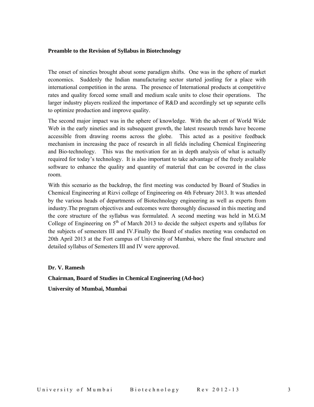#### **Preamble to the Revision of Syllabus in Biotechnology**

The onset of nineties brought about some paradigm shifts. One was in the sphere of market economics. Suddenly the Indian manufacturing sector started jostling for a place with international competition in the arena. The presence of International products at competitive rates and quality forced some small and medium scale units to close their operations. The larger industry players realized the importance of R&D and accordingly set up separate cells to optimize production and improve quality.

The second major impact was in the sphere of knowledge. With the advent of World Wide Web in the early nineties and its subsequent growth, the latest research trends have become accessible from drawing rooms across the globe. This acted as a positive feedback mechanism in increasing the pace of research in all fields including Chemical Engineering and Bio-technology. This was the motivation for an in depth analysis of what is actually required for today's technology. It is also important to take advantage of the freely available software to enhance the quality and quantity of material that can be covered in the class room.

With this scenario as the backdrop, the first meeting was conducted by Board of Studies in Chemical Engineering at Rizvi college of Engineering on 4th February 2013. It was attended by the various heads of departments of Biotechnology engineering as well as experts from industry.The program objectives and outcomes were thoroughly discussed in this meeting and the core structure of the syllabus was formulated. A second meeting was held in M.G.M College of Engineering on  $5<sup>th</sup>$  of March 2013 to decide the subject experts and syllabus for the subjects of semesters III and IV.Finally the Board of studies meeting was conducted on 20th April 2013 at the Fort campus of University of Mumbai, where the final structure and detailed syllabus of Semesters III and IV were approved.

#### **Dr. V. Ramesh**

**Chairman, Board of Studies in Chemical Engineering (Ad-hoc) University of Mumbai, Mumbai**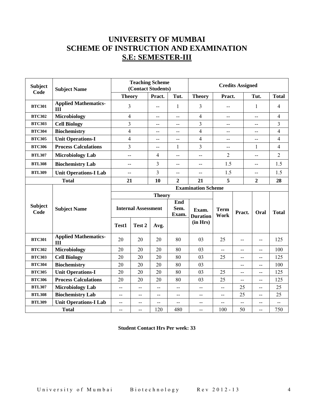# **UNIVERSITY OF MUMBAI SCHEME OF INSTRUCTION AND EXAMINATION S.E: SEMESTER-III**

| <b>Subject</b><br><b>Subject Name</b><br>Code |                                    |                                               | <b>Teaching Scheme</b><br>(Contact Students) |                |                | <b>Credits Assigned</b>   |                     |                |                          |                         |
|-----------------------------------------------|------------------------------------|-----------------------------------------------|----------------------------------------------|----------------|----------------|---------------------------|---------------------|----------------|--------------------------|-------------------------|
|                                               |                                    | <b>Theory</b>                                 |                                              | Pract.         | Tut.           | <b>Theory</b>             | Pract.              |                | Tut.                     | <b>Total</b>            |
| <b>BTC301</b>                                 | <b>Applied Mathematics-</b><br>Ш   |                                               | 3                                            |                | 1              | 3                         |                     |                | 1                        | 4                       |
| <b>BTC302</b>                                 | <b>Microbiology</b>                |                                               | $\overline{4}$                               |                | $-$            | 4                         | $-$                 |                | $\overline{\phantom{a}}$ | 4                       |
| <b>BTC303</b>                                 | <b>Cell Biology</b>                | $\overline{3}$                                |                                              | $-$            | $-$            | $\overline{3}$            | $-$                 |                | $-$                      | $\overline{\mathbf{3}}$ |
| <b>BTC304</b>                                 | <b>Biochemistry</b>                | $\overline{4}$                                |                                              | $-$            | $-$            | $\overline{\mathcal{L}}$  | $-$                 |                | $-$                      | $\overline{4}$          |
| <b>BTC305</b>                                 | <b>Unit Operations-I</b>           | $\overline{4}$                                |                                              | $-$            | $-$            | $\overline{\mathcal{L}}$  | $-$                 |                | $-$                      | $\overline{4}$          |
| <b>BTC306</b>                                 | <b>Process Calculations</b>        | 3                                             |                                              | $-$            | 1              | 3                         | $-$                 |                | $\mathbf{1}$             | $\overline{4}$          |
| <b>BTL307</b>                                 | <b>Microbiology Lab</b>            | $-$                                           |                                              | $\overline{4}$ | $-$            | $-$                       | $\overline{2}$      |                | $-$                      | $\overline{2}$          |
| <b>BTL308</b>                                 | <b>Biochemistry Lab</b>            | $-$                                           |                                              | 3              | $-$            | $-$                       | 1.5                 |                | $-$                      | 1.5                     |
| <b>BTL309</b>                                 | <b>Unit Operations-I Lab</b>       | $\overline{a}$                                |                                              | 3              | $-$            | $-$                       | 1.5                 |                | $-$                      | 1.5                     |
|                                               | <b>Total</b>                       | 21                                            |                                              | 10             | $\overline{2}$ | 21                        | 5<br>$\overline{2}$ |                | 28                       |                         |
|                                               |                                    |                                               |                                              |                |                | <b>Examination Scheme</b> |                     |                |                          |                         |
|                                               |                                    |                                               | <b>Theory</b>                                |                |                |                           |                     |                |                          |                         |
| <b>Subject</b>                                | <b>Subject Name</b>                |                                               | <b>Internal Assessment</b>                   |                | End<br>Sem.    | Exam.                     | <b>Term</b>         |                | Oral                     |                         |
| Code                                          |                                    |                                               |                                              |                | Exam.          | <b>Duration</b>           | Work                | Pract.         |                          | <b>Total</b>            |
|                                               |                                    | Test1                                         | Test 2                                       | Avg.           |                | (in Hrs)                  |                     |                |                          |                         |
| <b>BTC301</b>                                 | <b>Applied Mathematics-</b><br>III | 20                                            | 20                                           | 20             | 80             | 03                        | 25                  | $-$            | $-$                      | 125                     |
| <b>BTC302</b>                                 | <b>Microbiology</b>                | 20                                            | 20                                           | 20             | 80             | 03                        | --                  | $-$            | $-$                      | 100                     |
| <b>BTC303</b>                                 | <b>Cell Biology</b>                | 20                                            | 20                                           | 20             | 80             | 03                        | 25                  | $-$            | $-$                      | 125                     |
| <b>BTC304</b>                                 | <b>Biochemistry</b>                | 20                                            | 20                                           | 20             | 80             | 03                        |                     | --             | --                       | 100                     |
| <b>BTC305</b>                                 | <b>Unit Operations-I</b>           | 20                                            | 20                                           | 20             | 80             | 03                        | 25                  | $\overline{a}$ | $-$                      | 125                     |
| <b>BTC306</b>                                 | <b>Process Calculations</b>        | 20                                            | 20                                           | 20             | 80             | 03                        | 25                  | --             | --                       | 125                     |
| <b>BTL307</b>                                 | <b>Microbiology Lab</b>            | $-$                                           | $\overline{\phantom{a}}$                     | $-$            | $-$            | $-$                       | --                  | 25             | $-$                      | 25                      |
| <b>BTL308</b>                                 | <b>Biochemistry Lab</b>            | $-$                                           | $-$                                          | $-$            | --             | $-$                       | $-$                 | 25             | $\overline{a}$           | 25                      |
| <b>BTL309</b>                                 | <b>Unit Operations-I Lab</b>       | $\mathord{\hspace{1pt}\text{--}\hspace{1pt}}$ | $-$                                          | $-$            | $-$            | $\overline{\phantom{a}}$  | --                  | $-$            | $-$                      | $-$                     |
|                                               | <b>Total</b>                       |                                               | --                                           | 120            | 480            | $-$                       | 100                 | 50             | --                       | 750                     |

**Student Contact Hrs Per week: 33**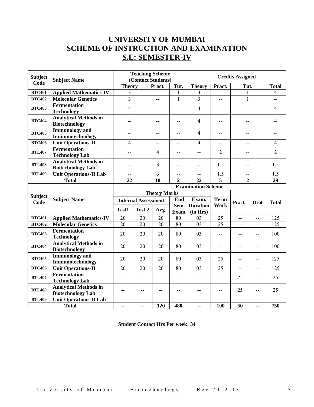# **UNIVERSITY OF MUMBAI SCHEME OF INSTRUCTION AND EXAMINATION S.E: SEMESTER-IV**

| <b>Subject</b><br><b>Subject Name</b><br>Code |                                                          |                            | <b>Teaching Scheme</b><br>(Contact Students) |                          |                                   | <b>Credits Assigned</b>     |                                  |                |                          |                |
|-----------------------------------------------|----------------------------------------------------------|----------------------------|----------------------------------------------|--------------------------|-----------------------------------|-----------------------------|----------------------------------|----------------|--------------------------|----------------|
|                                               |                                                          | <b>Theory</b>              |                                              | Pract.                   | Tut.                              | <b>Theory</b>               | Pract.                           | Tut.           |                          | <b>Total</b>   |
| <b>BTC401</b>                                 | <b>Applied Mathematics-IV</b>                            | 3                          |                                              | $\overline{a}$           | 1                                 | 3                           | $-$                              | 1              |                          | 4              |
| <b>BTC402</b>                                 | <b>Molecular Genetics</b>                                | $\overline{3}$             |                                              | $\overline{\phantom{a}}$ | 1                                 | $\overline{\mathbf{3}}$     | $\overline{a}$                   | $\mathbf{1}$   |                          | 4              |
| <b>BTC403</b>                                 | <b>Fermentation</b><br><b>Technology</b>                 | 4                          |                                              | $-$                      | --                                | 4                           | $\overline{\phantom{a}}$         | --             |                          | $\overline{4}$ |
| <b>BTC404</b>                                 | <b>Analytical Methods in</b><br><b>Biotechnology</b>     | 4                          |                                              | $-$                      | $-$                               | $\overline{4}$              | $-$                              | $-$            |                          | $\overline{4}$ |
| <b>BTC405</b>                                 | <b>Immunology</b> and<br>Immunotechnology                | 4                          |                                              | $-$                      | $-$                               | $\overline{4}$              | $\overline{a}$                   | --             |                          | $\overline{4}$ |
| <b>BTC406</b>                                 | <b>Unit Operations-II</b>                                | 4                          |                                              | $-$                      | $-$                               | 4                           | $\overline{\phantom{a}}$         | $-$            |                          | 4              |
| <b>BTL407</b>                                 | <b>Fermentation</b><br><b>Technology Lab</b>             | --                         |                                              | 4                        | --                                | $-$                         | $\overline{2}$                   | --             |                          | $\overline{2}$ |
| <b>BTL408</b>                                 | <b>Analytical Methods in</b><br><b>Biotechnology Lab</b> |                            |                                              | 3                        | --                                | --                          | 1.5                              | $-$            |                          | 1.5            |
| <b>BTL409</b>                                 | <b>Unit Operations-II Lab</b>                            | $-$                        |                                              | 3                        | --                                | $\overline{a}$              | 1.5                              | --             |                          | 1.5            |
|                                               | <b>Total</b>                                             |                            |                                              | 10                       | $\overline{2}$<br>$\overline{22}$ |                             | $\overline{5}$<br>$\overline{2}$ |                | 29                       |                |
|                                               |                                                          | <b>Examination Scheme</b>  |                                              |                          |                                   |                             |                                  |                |                          |                |
| <b>Subject</b>                                |                                                          | <b>Theory Marks</b>        |                                              |                          |                                   |                             |                                  |                |                          |                |
| Code                                          | <b>Subject Name</b>                                      | <b>Internal Assessment</b> |                                              |                          | End                               | Exam.                       | <b>Term</b>                      | Pract.         | Oral                     | <b>Total</b>   |
|                                               |                                                          | Test1                      | Test 2                                       | Avg.                     | Sem.<br>Exam.                     | <b>Duration</b><br>(in Hrs) | Work                             |                |                          |                |
| <b>BTC401</b>                                 | <b>Applied Mathematics-IV</b>                            | 20                         | 20                                           |                          |                                   |                             |                                  |                |                          |                |
| <b>BTC402</b>                                 | <b>Molecular Genetics</b>                                | $\overline{20}$            |                                              | 20                       | 80                                | 03                          | 25                               | $\overline{a}$ | $-$                      | 125            |
| <b>BTC403</b>                                 |                                                          |                            | 20                                           | 20                       | 80                                | 03                          | 25                               | $-$            | $-$                      | 125            |
|                                               | <b>Fermentation</b><br><b>Technology</b>                 | 20                         | 20                                           | 20                       | 80                                | 03                          | $\overline{\phantom{a}}$         | $-$            | $-$                      | 100            |
| <b>BTC404</b>                                 | <b>Analytical Methods in</b><br><b>Biotechnology</b>     | 20                         | 20                                           | 20                       | 80                                | 03                          | $\overline{\phantom{a}}$         | $-$            | $-$                      | 100            |
| <b>BTC405</b>                                 | <b>Immunology</b> and<br>Immunotechnology                | 20                         | 20                                           | 20                       | 80                                | 03                          | 25                               | $-$            | $\overline{\phantom{m}}$ | 125            |
| <b>BTC406</b>                                 | <b>Unit Operations-II</b>                                | 20                         | 20                                           | 20                       | 80                                | 03                          | 25                               | $\overline{a}$ | $-$                      | 125            |
| <b>BTL407</b>                                 | <b>Fermentation</b><br><b>Technology Lab</b>             | $-$                        | $-$                                          | $-$                      | $-$                               | $-$                         | $-$                              | 25             | $-$                      | 25             |
| <b>BTL408</b>                                 | <b>Analytical Methods in</b><br><b>Biotechnology Lab</b> | $\overline{\phantom{m}}$   | --                                           | --                       | --                                | --                          | --                               | 25             | --                       | 25             |
| <b>BTL409</b>                                 | <b>Unit Operations-II Lab</b>                            | $\overline{\phantom{m}}$   | --                                           | --                       | --                                | $ -$                        | $\overline{\phantom{a}}$         | $-$            | $ -$                     | --             |

**Student Contact Hrs Per week: 34**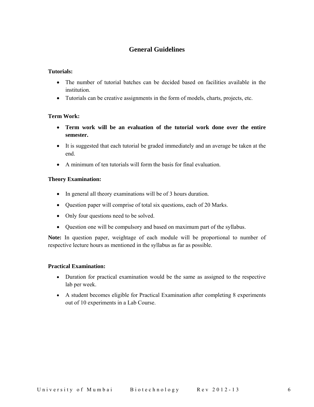## **General Guidelines**

### **Tutorials:**

- The number of tutorial batches can be decided based on facilities available in the institution.
- Tutorials can be creative assignments in the form of models, charts, projects, etc.

### **Term Work:**

- **Term work will be an evaluation of the tutorial work done over the entire semester.**
- It is suggested that each tutorial be graded immediately and an average be taken at the end.
- A minimum of ten tutorials will form the basis for final evaluation.

### **Theory Examination:**

- In general all theory examinations will be of 3 hours duration.
- Question paper will comprise of total six questions, each of 20 Marks.
- Only four questions need to be solved.
- Question one will be compulsory and based on maximum part of the syllabus.

**Note:** In question paper, weightage of each module will be proportional to number of respective lecture hours as mentioned in the syllabus as far as possible.

### **Practical Examination:**

- Duration for practical examination would be the same as assigned to the respective lab per week.
- A student becomes eligible for Practical Examination after completing 8 experiments out of 10 experiments in a Lab Course.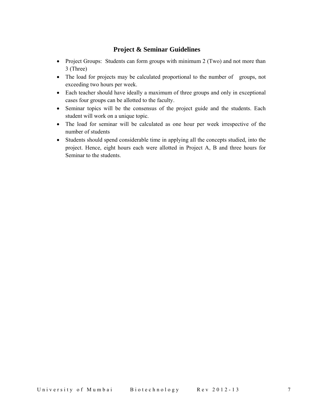### **Project & Seminar Guidelines**

- Project Groups: Students can form groups with minimum 2 (Two) and not more than 3 (Three)
- The load for projects may be calculated proportional to the number of groups, not exceeding two hours per week.
- Each teacher should have ideally a maximum of three groups and only in exceptional cases four groups can be allotted to the faculty.
- Seminar topics will be the consensus of the project guide and the students. Each student will work on a unique topic.
- The load for seminar will be calculated as one hour per week irrespective of the number of students
- Students should spend considerable time in applying all the concepts studied, into the project. Hence, eight hours each were allotted in Project A, B and three hours for Seminar to the students.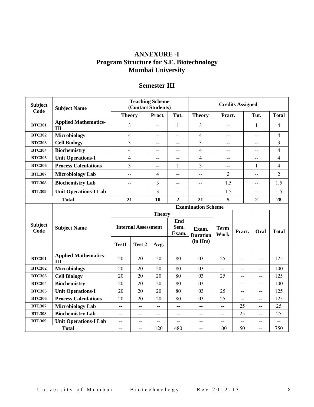## **ANNEXURE -I Program Structure for S.E. Biotechnology Mumbai University**

| <b>Subject</b> | <b>Subject Name</b><br>Code        |                | <b>Teaching Scheme</b><br>(Contact Students) |                   |                          | <b>Credits Assigned</b>     |                          |        |                          |                         |
|----------------|------------------------------------|----------------|----------------------------------------------|-------------------|--------------------------|-----------------------------|--------------------------|--------|--------------------------|-------------------------|
|                |                                    |                | <b>Theory</b>                                | Pract.            | Tut.                     | <b>Theory</b>               | Pract.                   |        | Tut.                     | <b>Total</b>            |
| <b>BTC301</b>  | <b>Applied Mathematics-</b><br>Ш   | 3              |                                              | --                | $\mathbf{1}$             | 3                           | --                       |        | 1                        | 4                       |
| <b>BTC302</b>  | <b>Microbiology</b>                |                | $\overline{4}$                               |                   | $- -$                    | $\overline{4}$              | --                       |        | $-$                      | $\overline{4}$          |
| <b>BTC303</b>  | <b>Cell Biology</b>                | $\overline{3}$ |                                              | $-$               | $-$                      | $\overline{3}$              | $-$                      |        | $-$                      | 3                       |
| <b>BTC304</b>  | <b>Biochemistry</b>                | $\overline{4}$ |                                              | $-$               | --                       | $\overline{4}$              | $-$                      |        | $-$                      | $\overline{\mathbf{4}}$ |
| <b>BTC305</b>  | <b>Unit Operations-I</b>           | $\overline{4}$ |                                              | $-$               | --                       | $\overline{4}$              | $-$                      |        | $-$                      | $\overline{\mathbf{4}}$ |
| <b>BTC306</b>  | <b>Process Calculations</b>        | 3              |                                              | $-$               | $\mathbf{1}$             | 3                           | --                       |        | $\mathbf{1}$             | $\overline{4}$          |
| <b>BTL307</b>  | <b>Microbiology Lab</b>            | $-$            |                                              | $\overline{4}$    | $\overline{a}$           | $-$                         | $\overline{2}$           |        | $-$                      | $\overline{2}$          |
| <b>BTL308</b>  | <b>Biochemistry Lab</b>            | $-$            |                                              | 3                 | $-$                      | $-$                         | 1.5                      |        | $-$                      | 1.5                     |
| <b>BTL309</b>  | <b>Unit Operations-I Lab</b>       | $-$            |                                              | 3                 | $-$                      | $-$                         | 1.5                      |        | $-$                      | 1.5                     |
|                | <b>Total</b>                       | 21             |                                              | 10                | $\overline{2}$           | 21                          | 5<br>$\boldsymbol{2}$    |        | 28                       |                         |
|                |                                    |                |                                              |                   |                          | <b>Examination Scheme</b>   |                          |        |                          |                         |
|                |                                    | <b>Theory</b>  |                                              |                   |                          |                             |                          |        |                          |                         |
| <b>Subject</b> |                                    |                |                                              |                   | End                      |                             |                          |        |                          |                         |
| Code           | <b>Subject Name</b>                |                | <b>Internal Assessment</b>                   |                   | Sem.<br>Exam.            | Exam.                       | <b>Term</b>              | Pract. | Oral                     | <b>Total</b>            |
|                |                                    |                |                                              |                   |                          | <b>Duration</b><br>(in Hrs) | Work                     |        |                          |                         |
|                |                                    | Test1          | Test 2                                       | Avg.              |                          |                             |                          |        |                          |                         |
| <b>BTC301</b>  | <b>Applied Mathematics-</b><br>III | 20             | 20                                           | 20                | 80                       | 03                          | 25                       | --     | $\overline{\phantom{m}}$ | 125                     |
| <b>BTC302</b>  | <b>Microbiology</b>                | 20             | 20                                           | 20                | 80                       | 03                          | $-$                      | $-$    | $- -$                    | 100                     |
| <b>BTC303</b>  | <b>Cell Biology</b>                | 20             | 20                                           | 20                | 80                       | 03                          | 25                       | $-$    | $-$                      | 125                     |
| <b>BTC304</b>  | <b>Biochemistry</b>                | 20             | 20                                           | 20                | 80                       | 03                          |                          | $-$    | $-$                      | 100                     |
| <b>BTC305</b>  | <b>Unit Operations-I</b>           | 20             | 20                                           | 20                | 80                       | 03                          | 25                       | $-$    | --                       | 125                     |
| <b>BTC306</b>  | <b>Process Calculations</b>        | 20             | 20                                           | 20                | 80                       | 03                          | 25                       | $-$    | $-$                      | 125                     |
| <b>BTL307</b>  | <b>Microbiology Lab</b>            | --             | $-$                                          | $\qquad \qquad -$ | $\overline{\phantom{a}}$ | --                          | --                       | 25     | $\overline{\phantom{m}}$ | 25                      |
| <b>BTL308</b>  | <b>Biochemistry Lab</b>            | $-$            | $-$                                          | $-$               | $-$                      | $-$                         | $-$                      | 25     | $-$                      | 25                      |
| <b>BTL309</b>  | <b>Unit Operations-I Lab</b>       | $-$            | --                                           | $-$               | $\overline{a}$           | $-$                         | $\overline{\phantom{a}}$ | --     | --                       | $\overline{a}$          |
|                | <b>Total</b>                       | $-$            | --                                           | 120               | 480                      | $-$                         | 100                      | 50     | --                       | 750                     |

## **Semester III**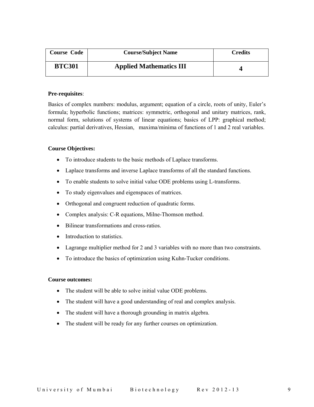| <b>Course Code</b> | <b>Course/Subject Name</b>     | <b>Credits</b> |
|--------------------|--------------------------------|----------------|
| <b>BTC301</b>      | <b>Applied Mathematics III</b> |                |

### **Pre-requisites**:

Basics of complex numbers: modulus, argument; equation of a circle, roots of unity, Euler's formula; hyperbolic functions; matrices: symmetric, orthogonal and unitary matrices, rank, normal form, solutions of systems of linear equations; basics of LPP: graphical method; calculus: partial derivatives, Hessian, maxima/minima of functions of 1 and 2 real variables.

### **Course Objectives:**

- To introduce students to the basic methods of Laplace transforms.
- Laplace transforms and inverse Laplace transforms of all the standard functions.
- To enable students to solve initial value ODE problems using L-transforms.
- To study eigenvalues and eigenspaces of matrices.
- Orthogonal and congruent reduction of quadratic forms.
- Complex analysis: C-R equations, Milne-Thomson method.
- Bilinear transformations and cross-ratios
- Introduction to statistics.
- Lagrange multiplier method for 2 and 3 variables with no more than two constraints.
- To introduce the basics of optimization using Kuhn-Tucker conditions.

### **Course outcomes:**

- The student will be able to solve initial value ODE problems.
- The student will have a good understanding of real and complex analysis.
- The student will have a thorough grounding in matrix algebra.
- The student will be ready for any further courses on optimization.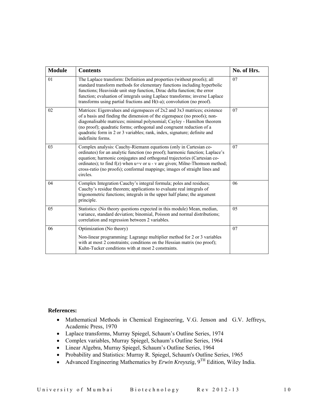| <b>Module</b> | <b>Contents</b>                                                                                                                                                                                                                                                                                                                                                                                             | No. of Hrs. |
|---------------|-------------------------------------------------------------------------------------------------------------------------------------------------------------------------------------------------------------------------------------------------------------------------------------------------------------------------------------------------------------------------------------------------------------|-------------|
| 01            | The Laplace transform: Definition and properties (without proofs); all<br>standard transform methods for elementary functions including hyperbolic<br>functions; Heaviside unit step function, Dirac delta function; the error<br>function; evaluation of integrals using Laplace transforms; inverse Laplace<br>transforms using partial fractions and $H(t-a)$ ; convolution (no proof).                  | 07          |
| 02            | Matrices: Eigenvalues and eigenspaces of 2x2 and 3x3 matrices; existence<br>of a basis and finding the dimension of the eigenspace (no proofs); non-<br>diagonalisable matrices; minimal polynomial; Cayley - Hamilton theorem<br>(no proof); quadratic forms; orthogonal and congruent reduction of a<br>quadratic form in 2 or 3 variables; rank, index, signature; definite and<br>indefinite forms.     | 07          |
| 03            | Complex analysis: Cauchy-Riemann equations (only in Cartesian co-<br>ordinates) for an analytic function (no proof); harmonic function; Laplace's<br>equation; harmonic conjugates and orthogonal trajectories (Cartesian co-<br>ordinates); to find $f(z)$ when $u+v$ or $u - v$ are given; Milne-Thomson method;<br>cross-ratio (no proofs); conformal mappings; images of straight lines and<br>circles. | 07          |
| 04            | Complex Integration Cauchy's integral formula; poles and residues;<br>Cauchy's residue theorem; applications to evaluate real integrals of<br>trigonometric functions; integrals in the upper half plane; the argument<br>principle.                                                                                                                                                                        | 06          |
| 05            | Statistics: (No theory questions expected in this module) Mean, median,<br>variance, standard deviation; binomial, Poisson and normal distributions;<br>correlation and regression between 2 variables.                                                                                                                                                                                                     | 05          |
| 06            | Optimization (No theory)<br>Non-linear programming: Lagrange multiplier method for 2 or 3 variables<br>with at most 2 constraints; conditions on the Hessian matrix (no proof);<br>Kuhn-Tucker conditions with at most 2 constraints.                                                                                                                                                                       | 07          |

- Mathematical Methods in Chemical Engineering, V.G. Jenson and G.V. Jeffreys, Academic Press, 1970
- Laplace transforms, Murray Spiegel, Schaum's Outline Series, 1974
- Complex variables, Murray Spiegel, Schaum's Outline Series, 1964
- Linear Algebra, Murray Spiegel, Schaum's Outline Series, 1964
- Probability and Statistics: Murray R. Spiegel, Schaum's Outline Series, 1965
- Advanced Engineering Mathematics by *Erwin Kreyszig*,  $9^{TH}$  Edition, Wiley India.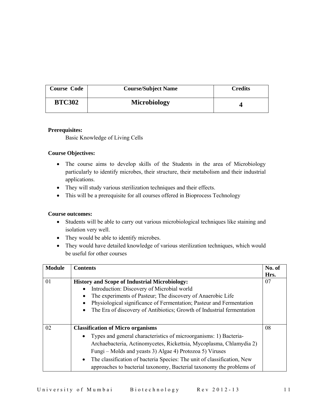| <b>Course Code</b> | <b>Course/Subject Name</b> | <b>Credits</b> |
|--------------------|----------------------------|----------------|
| <b>BTC302</b>      | Microbiology               |                |

### **Prerequisites:**

Basic Knowledge of Living Cells

### **Course Objectives:**

- The course aims to develop skills of the Students in the area of Microbiology particularly to identify microbes, their structure, their metabolism and their industrial applications.
- They will study various sterilization techniques and their effects.
- This will be a prerequisite for all courses offered in Bioprocess Technology

### **Course outcomes:**

- Students will be able to carry out various microbiological techniques like staining and isolation very well.
- They would be able to identify microbes.
- They would have detailed knowledge of various sterilization techniques, which would be useful for other courses

| <b>Module</b> | <b>Contents</b>                                                                                                                                                                                                                                                                                                                                                                                                               | No. of<br>Hrs. |
|---------------|-------------------------------------------------------------------------------------------------------------------------------------------------------------------------------------------------------------------------------------------------------------------------------------------------------------------------------------------------------------------------------------------------------------------------------|----------------|
| 01            | <b>History and Scope of Industrial Microbiology:</b><br>Introduction: Discovery of Microbial world<br>The experiments of Pasteur; The discovery of Anaerobic Life<br>Physiological significance of Fermentation; Pasteur and Fermentation<br>The Era of discovery of Antibiotics; Growth of Industrial fermentation                                                                                                           | 07             |
| 02            | <b>Classification of Micro organisms</b><br>Types and general characteristics of microorganisms: 1) Bacteria-<br>$\bullet$<br>Archaebacteria, Actinomycetes, Rickettsia, Mycoplasma, Chlamydia 2)<br>Fungi – Molds and yeasts 3) Algae 4) Protozoa 5) Viruses<br>The classification of bacteria Species: The unit of classification, New<br>$\bullet$<br>approaches to bacterial taxonomy, Bacterial taxonomy the problems of | 08             |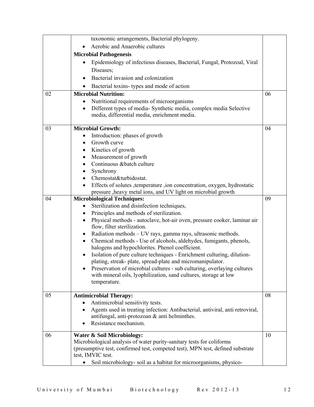|    | taxonomic arrangements, Bacterial phylogeny.                                                                                                     |    |
|----|--------------------------------------------------------------------------------------------------------------------------------------------------|----|
|    | Aerobic and Anaerobic cultures                                                                                                                   |    |
|    | <b>Microbial Pathogenesis</b>                                                                                                                    |    |
|    | Epidemiology of infectious diseases, Bacterial, Fungal, Protozoal, Viral<br>Diseases;                                                            |    |
|    | Bacterial invasion and colonization                                                                                                              |    |
|    | Bacterial toxins- types and mode of action                                                                                                       |    |
| 02 | <b>Microbial Nutrition:</b>                                                                                                                      | 06 |
|    | Nutritional requirements of microorganisms                                                                                                       |    |
|    | Different types of media-Synthetic media, complex media Selective<br>$\bullet$<br>media, differential media, enrichment media.                   |    |
| 03 | <b>Microbial Growth:</b>                                                                                                                         | 04 |
|    | Introduction: phases of growth                                                                                                                   |    |
|    | Growth curve                                                                                                                                     |    |
|    | Kinetics of growth<br>٠                                                                                                                          |    |
|    | Measurement of growth<br>٠                                                                                                                       |    |
|    | Continuous & batch culture                                                                                                                       |    |
|    | Synchrony                                                                                                                                        |    |
|    | Chemostat&turbidostat.                                                                                                                           |    |
|    | Effects of solutes , temperature , ion concentration, oxygen, hydrostatic<br>pressure , heavy metal ions, and UV light on microbial growth       |    |
| 04 | <b>Microbiological Techniques:</b>                                                                                                               | 09 |
|    | Sterilization and disinfection techniques,<br>$\bullet$                                                                                          |    |
|    | Principles and methods of sterilization.<br>٠                                                                                                    |    |
|    | Physical methods - autoclave, hot-air oven, pressure cooker, laminar air<br>$\bullet$                                                            |    |
|    | flow, filter sterilization.                                                                                                                      |    |
|    | Radiation methods - UV rays, gamma rays, ultrasonic methods.<br>$\bullet$                                                                        |    |
|    | Chemical methods - Use of alcohols, aldehydes, fumigants, phenols,<br>$\bullet$                                                                  |    |
|    | halogens and hypochlorites. Phenol coefficient.                                                                                                  |    |
|    | Isolation of pure culture techniques - Enrichment culturing, dilution-<br>$\bullet$<br>plating, streak-plate, spread-plate and micromanipulator. |    |
|    | Preservation of microbial cultures - sub culturing, overlaying cultures                                                                          |    |
|    | with mineral oils, lyophilization, sand cultures, storage at low                                                                                 |    |
|    | temperature.                                                                                                                                     |    |
| 05 | <b>Antimicrobial Therapy:</b>                                                                                                                    | 08 |
|    | Antimicrobial sensitivity tests.                                                                                                                 |    |
|    | Agents used in treating infection: Antibacterial, antiviral, anti retroviral,                                                                    |    |
|    | antifungal, anti-protozoan & anti helminthes.                                                                                                    |    |
|    | Resistance mechanism.                                                                                                                            |    |
| 06 | Water & Soil Microbiology:                                                                                                                       | 10 |
|    | Microbiological analysis of water purity-sanitary tests for coliforms                                                                            |    |
|    | (presumptive test, confirmed test, competed test), MPN test, defined substrate                                                                   |    |
|    | test, IMVIC test.                                                                                                                                |    |
|    | Soil microbiology- soil as a habitat for microorganisms, physico-                                                                                |    |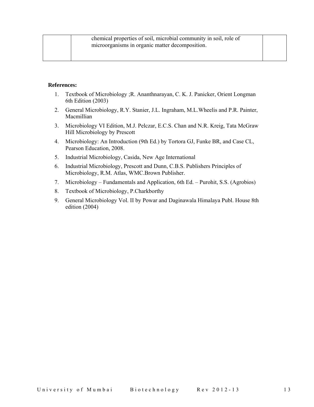- 1. Textbook of Microbiology ;R. Ananthnarayan, C. K. J. Panicker, Orient Longman 6th Edition (2003)
- 2. General Microbiology, R.Y. Stanier, J.L. Ingraham, M.L.Wheelis and P.R. Painter, Macmillian
- 3. Microbiology VI Edition, M.J. Pelczar, E.C.S. Chan and N.R. Kreig, Tata McGraw Hill Microbiology by Prescott
- 4. Microbiology: An Introduction (9th Ed.) by Tortora GJ, Funke BR, and Case CL, Pearson Education, 2008.
- 5. Industrial Microbiology, Casida, New Age International
- 6. Industrial Microbiology, Prescott and Dunn, C.B.S. Publishers Principles of Microbiology, R.M. Atlas, WMC.Brown Publisher.
- 7. Microbiology Fundamentals and Application, 6th Ed. Purohit, S.S. (Agrobios)
- 8. Textbook of Microbiology, P.Charkborthy
- 9. General Microbiology Vol. II by Powar and Daginawala Himalaya Publ. House 8th edition (2004)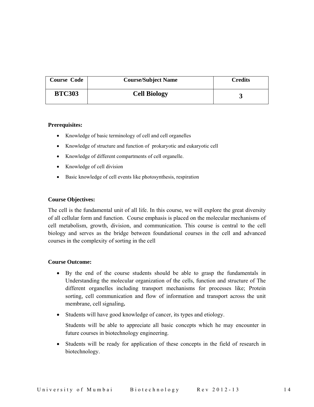| <b>Course Code</b> | <b>Course/Subject Name</b> | Credits |
|--------------------|----------------------------|---------|
| <b>BTC303</b>      | <b>Cell Biology</b>        |         |

#### **Prerequisites:**

- Knowledge of basic terminology of cell and cell organelles
- Knowledge of structure and function of prokaryotic and eukaryotic cell
- Knowledge of different compartments of cell organelle.
- Knowledge of cell division
- Basic knowledge of cell events like photosynthesis, respiration

#### **Course Objectives:**

The cell is the fundamental unit of all life. In this course, we will explore the great diversity of all cellular form and function. Course emphasis is placed on the molecular mechanisms of cell metabolism, growth, division, and communication. This course is central to the cell biology and serves as the bridge between foundational courses in the cell and advanced courses in the complexity of sorting in the cell

#### **Course Outcome:**

- By the end of the course students should be able to grasp the fundamentals in Understanding the molecular organization of the cells, function and structure of The different organelles including transport mechanisms for processes like; Protein sorting, cell communication and flow of information and transport across the unit membrane, cell signaling**.**
- Students will have good knowledge of cancer, its types and etiology.

Students will be able to appreciate all basic concepts which he may encounter in future courses in biotechnology engineering.

• Students will be ready for application of these concepts in the field of research in biotechnology.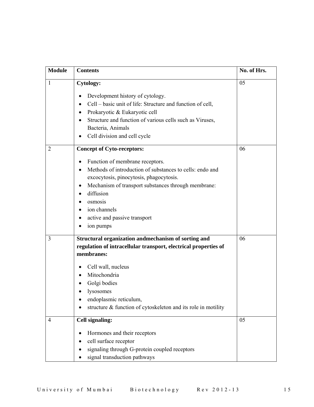| <b>Module</b>  | <b>Contents</b>                                                               | No. of Hrs. |
|----------------|-------------------------------------------------------------------------------|-------------|
| 1              | <b>Cytology:</b>                                                              | 05          |
|                | Development history of cytology.                                              |             |
|                | Cell – basic unit of life: Structure and function of cell,<br>$\bullet$       |             |
|                | Prokaryotic & Eukaryotic cell                                                 |             |
|                | Structure and function of various cells such as Viruses,<br>Bacteria, Animals |             |
|                | Cell division and cell cycle                                                  |             |
| 2              | <b>Concept of Cyto-receptors:</b>                                             | 06          |
|                | Function of membrane receptors.<br>٠                                          |             |
|                | Methods of introduction of substances to cells: endo and<br>$\bullet$         |             |
|                | excocytosis, pinocytosis, phagocytosis.                                       |             |
|                | Mechanism of transport substances through membrane:                           |             |
|                | diffusion<br>$\bullet$                                                        |             |
|                | osmosis                                                                       |             |
|                | ion channels                                                                  |             |
|                | active and passive transport                                                  |             |
|                | ion pumps                                                                     |             |
| 3              | Structural organization andmechanism of sorting and                           | 06          |
|                | regulation of intracellular transport, electrical properties of               |             |
|                | membranes:                                                                    |             |
|                | Cell wall, nucleus                                                            |             |
|                | Mitochondria                                                                  |             |
|                | Golgi bodies                                                                  |             |
|                | lysosomes                                                                     |             |
|                | endoplasmic reticulum,                                                        |             |
|                | structure & function of cytoskeleton and its role in motility                 |             |
| $\overline{4}$ | <b>Cell signaling:</b>                                                        | 05          |
|                | Hormones and their receptors                                                  |             |
|                | cell surface receptor                                                         |             |
|                | signaling through G-protein coupled receptors                                 |             |
|                | signal transduction pathways                                                  |             |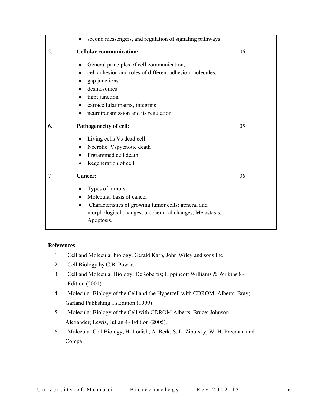|    | second messengers, and regulation of signaling pathways<br>٠          |    |
|----|-----------------------------------------------------------------------|----|
| 5. | <b>Cellular communication:</b>                                        | 06 |
|    | General principles of cell communication,                             |    |
|    | cell adhesion and roles of different adhesion molecules,              |    |
|    | gap junctions                                                         |    |
|    | desmosomes                                                            |    |
|    | tight junction                                                        |    |
|    | extracellular matrix, integrins                                       |    |
|    | neurotransmission and its regulation<br>$\bullet$                     |    |
| 6. | Pathogenecity of cell:                                                | 05 |
|    | Living cells Vs dead cell                                             |    |
|    | Necrotic Vspycnotic death                                             |    |
|    | Prgrammed cell death                                                  |    |
|    | Regeneration of cell                                                  |    |
| 7  | <b>Cancer:</b>                                                        | 06 |
|    | Types of tumors<br>٠                                                  |    |
|    | Molecular basis of cancer.<br>٠                                       |    |
|    | Characteristics of growing tumor cells: general and                   |    |
|    | morphological changes, biochemical changes, Metastasis,<br>Apoptosis. |    |

- 1. Cell and Molecular biology, Gerald Karp, John Wiley and sons Inc
- 2. Cell Biology by C.B. Powar.
- 3. Cell and Molecular Biology; DeRobertis; Lippincott Williams & Wilkins 8th Edition (2001)
- 4. Molecular Biology of the Cell and the Hypercell with CDROM; Alberts, Bray; Garland Publishing 1st Edition (1999)
- 5. Molecular Biology of the Cell with CDROM Alberts, Bruce; Johnson, Alexander; Lewis, Julian 4th Edition (2005).
- 6. Molecular Cell Biology, H. Lodish, A. Berk, S. L. Zipursky, W. H. Preeman and Compa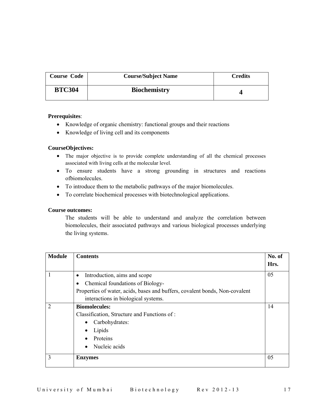| <b>Course Code</b> | <b>Course/Subject Name</b> | <b>Credits</b> |
|--------------------|----------------------------|----------------|
| <b>BTC304</b>      | <b>Biochemistry</b>        |                |

### **Prerequisites**:

- Knowledge of organic chemistry: functional groups and their reactions
- Knowledge of living cell and its components

### **CourseObjectives:**

- The major objective is to provide complete understanding of all the chemical processes associated with living cells at the molecular level.
- To ensure students have a strong grounding in structures and reactions ofbiomolecules.
- To introduce them to the metabolic pathways of the major biomolecules.
- To correlate biochemical processes with biotechnological applications.

### **Course outcomes:**

The students will be able to understand and analyze the correlation between biomolecules, their associated pathways and various biological processes underlying the living systems.

| <b>Module</b>  | <b>Contents</b>                                                             | No. of<br>Hrs. |
|----------------|-----------------------------------------------------------------------------|----------------|
|                | Introduction, aims and scope<br>$\bullet$                                   | 05             |
|                | Chemical foundations of Biology-<br>٠                                       |                |
|                | Properties of water, acids, bases and buffers, covalent bonds, Non-covalent |                |
|                | interactions in biological systems.                                         |                |
| $\overline{2}$ | <b>Biomolecules:</b>                                                        | 14             |
|                | Classification, Structure and Functions of:                                 |                |
|                | Carbohydrates:                                                              |                |
|                | Lipids                                                                      |                |
|                | Proteins                                                                    |                |
|                | Nucleic acids                                                               |                |
| 3              | <b>Enzymes</b>                                                              | 05             |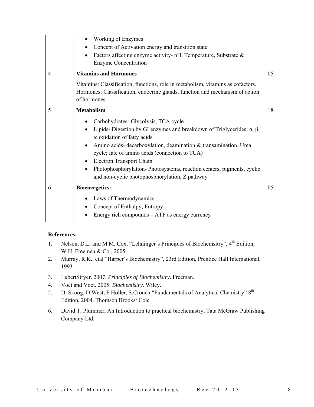|                | Working of Enzymes                                                                                                                                                                                                                                                                                                                                                                                                                     |    |
|----------------|----------------------------------------------------------------------------------------------------------------------------------------------------------------------------------------------------------------------------------------------------------------------------------------------------------------------------------------------------------------------------------------------------------------------------------------|----|
|                | Concept of Activation energy and transition state                                                                                                                                                                                                                                                                                                                                                                                      |    |
|                | Factors affecting enzyme activity- pH, Temperature, Substrate &                                                                                                                                                                                                                                                                                                                                                                        |    |
|                | <b>Enzyme Concentration</b>                                                                                                                                                                                                                                                                                                                                                                                                            |    |
| $\overline{4}$ | <b>Vitamins and Hormones</b>                                                                                                                                                                                                                                                                                                                                                                                                           | 05 |
|                | Vitamins: Classification, functions, role in metabolism, vitamins as cofactors.                                                                                                                                                                                                                                                                                                                                                        |    |
|                | Hormones: Classification, endocrine glands, function and mechanism of action<br>of hormones.                                                                                                                                                                                                                                                                                                                                           |    |
|                |                                                                                                                                                                                                                                                                                                                                                                                                                                        |    |
| 5              | <b>Metabolism</b>                                                                                                                                                                                                                                                                                                                                                                                                                      | 18 |
|                | Carbohydrates- Glycolysis, TCA cycle<br>Lipids-Digestion by GI enzymes and breakdown of Triglycerides: $\alpha$ , $\beta$ ,<br>ω oxidation of fatty acids<br>Amino acids- decarboxylation, deamination & transamination. Urea<br>cycle; fate of amino acids (connection to TCA)<br>Electron Transport Chain<br>Photophosphorylation-Photosystems, reaction centers, pigments, cyclic<br>and non-cyclic photophosphorylation, Z pathway |    |
| 6              | <b>Bioenergetics:</b>                                                                                                                                                                                                                                                                                                                                                                                                                  | 05 |
|                | Laws of Thermodynamics                                                                                                                                                                                                                                                                                                                                                                                                                 |    |
|                | Concept of Enthalpy, Entropy                                                                                                                                                                                                                                                                                                                                                                                                           |    |
|                | Energy rich compounds - ATP as energy currency                                                                                                                                                                                                                                                                                                                                                                                         |    |

- 1. Nelson, D.L. and M.M. Cox, "Lehninger's Principles of Biochemsitry", 4<sup>th</sup> Edition, W.H. Freemen & Co., 2005.
- 2. Murray, R.K., etal "Harper's Biochemistry", 23rd Edition, Prentice Hall International, 1993
- 3. LubertStryer. 2007. *Principles of Biochemistry*. Freeman.
- 4. Voet and Voet. 2005. *Biochemistry*. Wiley.
- 5. D. Skoog, D.West, F.Holler, S.Crouch "Fundamentals of Analytical Chemistry" 8<sup>th</sup> Edition, 2004. Thomson Brooks/ Cole
- 6. David T. Plummer, An Introduction to practical biochemistry, Tata McGraw Publishing Company Ltd.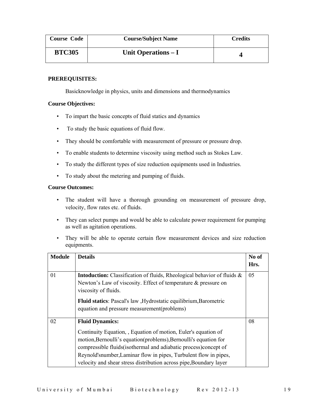| <b>Course Code</b> | <b>Course/Subject Name</b> | <b>Credits</b> |
|--------------------|----------------------------|----------------|
| <b>BTC305</b>      | Unit Operations $-I$       |                |

### **PREREQUISITES:**

Basicknowledge in physics, units and dimensions and thermodynamics

### **Course Objectives:**

- To impart the basic concepts of fluid statics and dynamics
- To study the basic equations of fluid flow.
- They should be comfortable with measurement of pressure or pressure drop.
- To enable students to determine viscosity using method such as Stokes Law.
- To study the different types of size reduction equipments used in Industries.
- To study about the metering and pumping of fluids.

### **Course Outcomes:**

- The student will have a thorough grounding on measurement of pressure drop, velocity, flow rates etc. of fluids.
- They can select pumps and would be able to calculate power requirement for pumping as well as agitation operations.
- They will be able to operate certain flow measurement devices and size reduction equipments.

| <b>Module</b> | <b>Details</b>                                                                 | No of |
|---------------|--------------------------------------------------------------------------------|-------|
|               |                                                                                | Hrs.  |
| 01            | <b>Intoduction:</b> Classification of fluids, Rheological behavior of fluids & | 05    |
|               | Newton's Law of viscosity. Effect of temperature & pressure on                 |       |
|               | viscosity of fluids.                                                           |       |
|               | <b>Fluid statics</b> : Pascal's law , Hydrostatic equilibrium, Barometric      |       |
|               | equation and pressure measurement (problems)                                   |       |
| 02            | <b>Fluid Dynamics:</b>                                                         | 08    |
|               | Continuity Equation, , Equation of motion, Euler's equation of                 |       |
|               | motion, Bernoulli's equation (problems), Bernoulli's equation for              |       |
|               | compressible fluids (isothermal and adiabatic process) concept of              |       |
|               | Reynold'snumber, Laminar flow in pipes, Turbulent flow in pipes,               |       |
|               | velocity and shear stress distribution across pipe, Boundary layer             |       |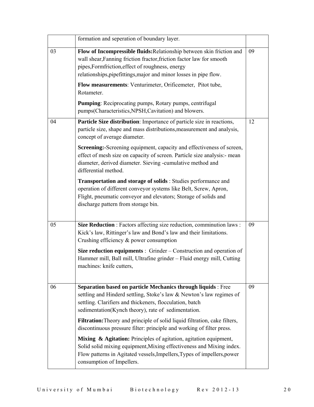|    | formation and seperation of boundary layer.                                                                                                                                                                                                                                                                                                                                                                   |    |
|----|---------------------------------------------------------------------------------------------------------------------------------------------------------------------------------------------------------------------------------------------------------------------------------------------------------------------------------------------------------------------------------------------------------------|----|
| 03 | Flow of Incompressible fluids: Relationship between skin friction and<br>wall shear, Fanning friction fractor, friction factor law for smooth<br>pipes, Formfriction, effect of roughness, energy<br>relationships, pipefittings, major and minor losses in pipe flow.<br>Flow measurements: Venturimeter, Orificemeter, Pitot tube,<br>Rotameter.<br>Pumping: Reciprocating pumps, Rotary pumps, centrifugal | 09 |
|    | pumps(Characteristics,NPSH,Cavitation) and blowers.                                                                                                                                                                                                                                                                                                                                                           |    |
| 04 | Particle Size distribution: Importance of particle size in reactions,<br>particle size, shape and mass distributions, measurement and analysis,<br>concept of average diameter.                                                                                                                                                                                                                               | 12 |
|    | Screening:-Screening equipment, capacity and effectiveness of screen,<br>effect of mesh size on capacity of screen. Particle size analysis:- mean<br>diameter, derived diameter. Sieving -cumulative method and<br>differential method.                                                                                                                                                                       |    |
|    | Transportation and storage of solids : Studies performance and<br>operation of different conveyor systems like Belt, Screw, Apron,<br>Flight, pneumatic conveyor and elevators; Storage of solids and<br>discharge pattern from storage bin.                                                                                                                                                                  |    |
| 05 | Size Reduction : Factors affecting size reduction, comminution laws :<br>Kick's law, Rittinger's law and Bond's law and their limitations.<br>Crushing efficiency $\&$ power consumption                                                                                                                                                                                                                      | 09 |
|    | <b>Size reduction equipments</b> : Grinder – Construction and operation of<br>Hammer mill, Ball mill, Ultrafine grinder - Fluid energy mill, Cutting<br>machines: knife cutters,                                                                                                                                                                                                                              |    |
| 06 | Separation based on particle Mechanics through liquids : Free<br>settling and Hinderd settling, Stoke's law & Newton's law regimes of<br>settling. Clarifiers and thickeners, flocculation, batch<br>sedimentation(Kynch theory), rate of sedimentation.                                                                                                                                                      | 09 |
|    | Filtration: Theory and principle of solid liquid filtration, cake filters,<br>discontinuous pressure filter: principle and working of filter press.                                                                                                                                                                                                                                                           |    |
|    | Mixing & Agitation: Principles of agitation, agitation equipment,<br>Solid solid mixing equipment, Mixing effectiveness and Mixing index.<br>Flow patterns in Agitated vessels, Impellers, Types of impellers, power<br>consumption of Impellers.                                                                                                                                                             |    |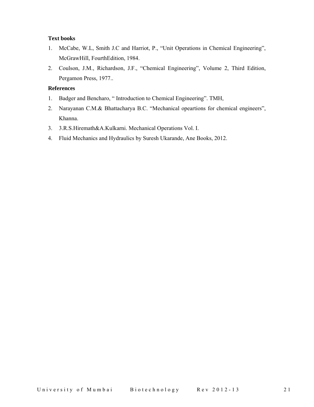### **Text books**

- 1. McCabe, W.L, Smith J.C and Harriot, P., "Unit Operations in Chemical Engineering", McGrawHill, FourthEdition, 1984.
- 2. Coulson, J.M., Richardson, J.F., "Chemical Engineering", Volume 2, Third Edition, Pergamon Press, 1977..

- 1. Badger and Bencharo, " Introduction to Chemical Engineering". TMH,
- 2. Narayanan C.M.& Bhattacharya B.C. "Mechanical opeartions for chemical engineers", Khanna.
- 3. 3.R.S.Hiremath&A.Kulkarni. Mechanical Operations Vol. I.
- 4. Fluid Mechanics and Hydraulics by Suresh Ukarande, Ane Books, 2012.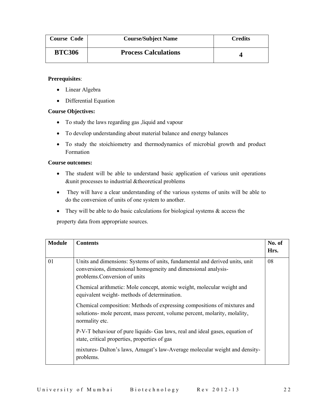| <b>Course Code</b> | <b>Course/Subject Name</b>  | <b>Credits</b> |
|--------------------|-----------------------------|----------------|
| <b>BTC306</b>      | <b>Process Calculations</b> |                |

### **Prerequisites**:

- Linear Algebra
- Differential Equation

### **Course Objectives:**

- To study the laws regarding gas ,liquid and vapour
- To develop understanding about material balance and energy balances
- To study the stoichiometry and thermodynamics of microbial growth and product Formation

### **Course outcomes:**

- The student will be able to understand basic application of various unit operations &unit processes to industrial &theoretical problems
- They will have a clear understanding of the various systems of units will be able to do the conversion of units of one system to another.
- They will be able to do basic calculations for biological systems  $\&$  access the

property data from appropriate sources.

| <b>Module</b> | <b>Contents</b>                                                                                                                                                                | No. of<br>Hrs. |
|---------------|--------------------------------------------------------------------------------------------------------------------------------------------------------------------------------|----------------|
| 01            | Units and dimensions. Systems of units, fundamental and derived units, unit<br>conversions, dimensional homogeneity and dimensional analysis-<br>problems. Conversion of units | 08             |
|               | Chemical arithmetic: Mole concept, atomic weight, molecular weight and<br>equivalent weight- methods of determination.                                                         |                |
|               | Chemical composition: Methods of expressing compositions of mixtures and<br>solutions- mole percent, mass percent, volume percent, molarity, molality,<br>normality etc.       |                |
|               | P-V-T behaviour of pure liquids- Gas laws, real and ideal gases, equation of<br>state, critical properties, properties of gas                                                  |                |
|               | mixtures-Dalton's laws, Amagat's law-Average molecular weight and density-<br>problems.                                                                                        |                |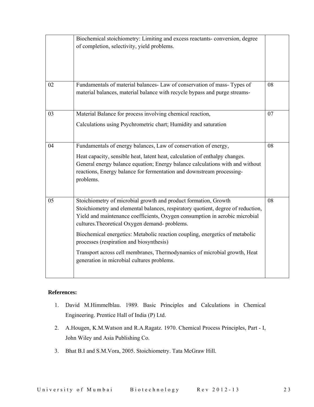| of completion, selectivity, yield problems.                                                                                                                                                                                                                                                                                                                                                                                                                                                  |    |
|----------------------------------------------------------------------------------------------------------------------------------------------------------------------------------------------------------------------------------------------------------------------------------------------------------------------------------------------------------------------------------------------------------------------------------------------------------------------------------------------|----|
| Fundamentals of material balances- Law of conservation of mass- Types of<br>material balances, material balance with recycle bypass and purge streams-                                                                                                                                                                                                                                                                                                                                       | 08 |
| Material Balance for process involving chemical reaction,<br>Calculations using Psychrometric chart; Humidity and saturation                                                                                                                                                                                                                                                                                                                                                                 | 07 |
| Fundamentals of energy balances, Law of conservation of energy,<br>Heat capacity, sensible heat, latent heat, calculation of enthalpy changes.<br>General energy balance equation; Energy balance calculations with and without<br>reactions, Energy balance for fermentation and downstream processing-<br>problems.                                                                                                                                                                        | 08 |
| Stoichiometry of microbial growth and product formation, Growth<br>Stoichiometry and elemental balances, respiratory quotient, degree of reduction,<br>Yield and maintenance coefficients, Oxygen consumption in aerobic microbial<br>cultures. Theoretical Oxygen demand-problems.<br>Biochemical energetics: Metabolic reaction coupling, energetics of metabolic<br>processes (respiration and biosynthesis)<br>Transport across cell membranes, Thermodynamics of microbial growth, Heat | 08 |
|                                                                                                                                                                                                                                                                                                                                                                                                                                                                                              |    |

- 1. David M.Himmelblau. 1989. Basic Principles and Calculations in Chemical Engineering. Prentice Hall of India (P) Ltd.
- 2. A.Hougen, K.M.Watson and R.A.Ragatz. 1970. Chemical Process Principles, Part I, John Wiley and Asia Publishing Co.
- 3. Bhat B.I and S.M.Vora, 2005. Stoichiometry. Tata McGraw Hill.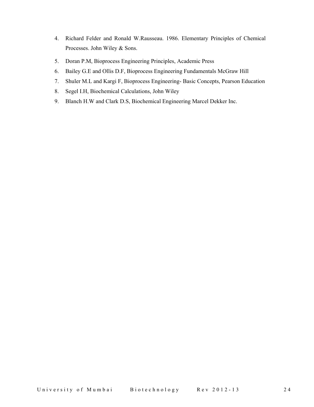- 4. Richard Felder and Ronald W.Rausseau. 1986. Elementary Principles of Chemical Processes. John Wiley & Sons.
- 5. Doran P.M, Bioprocess Engineering Principles, Academic Press
- 6. Bailey G.E and Ollis D.F, Bioprocess Engineering Fundamentals McGraw Hill
- 7. Shuler M.L and Kargi F, Bioprocess Engineering- Basic Concepts, Pearson Education
- 8. Segel I.H, Biochemical Calculations, John Wiley
- 9. Blanch H.W and Clark D.S, Biochemical Engineering Marcel Dekker Inc.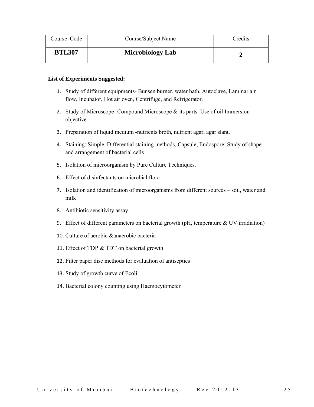| Course Code   | Course/Subject Name     | Credits |
|---------------|-------------------------|---------|
| <b>BTL307</b> | <b>Microbiology Lab</b> |         |

- 1. Study of different equipments- Bunsen burner, water bath, Autoclave, Laminar air flow, Incubator, Hot air oven, Centrifuge, and Refrigerator.
- 2. Study of Microscope- Compound Microscope & its parts. Use of oil Immersion objective.
- 3. Preparation of liquid medium -nutrients broth, nutrient agar, agar slant.
- 4. Staining: Simple, Differential staining methods, Capsule, Endospore; Study of shape and arrangement of bacterial cells
- 5. Isolation of microorganism by Pure Culture Techniques.
- 6. Effect of disinfectants on microbial flora
- 7. Isolation and identification of microorganisms from different sources soil, water and milk
- 8. Antibiotic sensitivity assay
- 9. Effect of different parameters on bacterial growth (pH, temperature & UV irradiation)
- 10. Culture of aerobic &anaerobic bacteria
- 11. Effect of TDP & TDT on bacterial growth
- 12. Filter paper disc methods for evaluation of antiseptics
- 13. Study of growth curve of Ecoli
- 14. Bacterial colony counting using Haemocytometer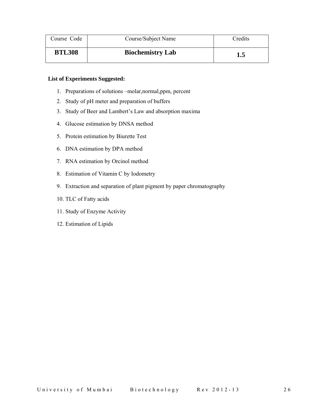| Course Code   | Course/Subject Name     | Credits |
|---------------|-------------------------|---------|
| <b>BTL308</b> | <b>Biochemistry Lab</b> | 1.5     |

- 1. Preparations of solutions –molar,normal,ppm, percent
- 2. Study of pH meter and preparation of buffers
- 3. Study of Beer and Lambert's Law and absorption maxima
- 4. Glucose estimation by DNSA method
- 5. Protein estimation by Biurette Test
- 6. DNA estimation by DPA method
- 7. RNA estimation by Orcinol method
- 8. Estimation of Vitamin C by Iodometry
- 9. Extraction and separation of plant pigment by paper chromatography
- 10. TLC of Fatty acids
- 11. Study of Enzyme Activity
- 12. Estimation of Lipids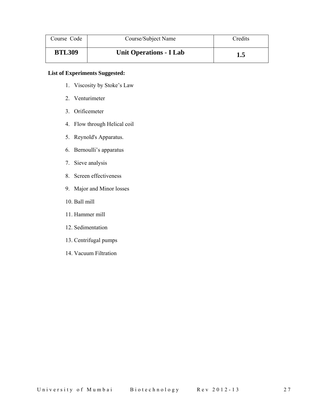| Course Code   | Course/Subject Name            | Credits |
|---------------|--------------------------------|---------|
| <b>BTL309</b> | <b>Unit Operations - I Lab</b> | 1.5     |

- 1. Viscosity by Stoke's Law
- 2. Venturimeter
- 3. Orificemeter
- 4. Flow through Helical coil
- 5. Reynold's Apparatus.
- 6. Bernoulli's apparatus
- 7. Sieve analysis
- 8. Screen effectiveness
- 9. Major and Minor losses
- 10. Ball mill
- 11. Hammer mill
- 12. Sedimentation
- 13. Centrifugal pumps
- 14. Vacuum Filtration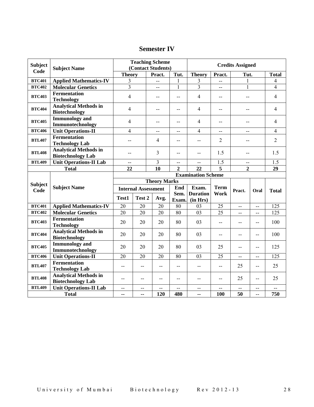## **Semester IV**

| <b>Subject</b><br><b>Subject Name</b> |                                                          | <b>Teaching Scheme</b><br>(Contact Students) |                            |                     | <b>Credits Assigned</b> |                             |                |                |      |                |
|---------------------------------------|----------------------------------------------------------|----------------------------------------------|----------------------------|---------------------|-------------------------|-----------------------------|----------------|----------------|------|----------------|
| Code                                  |                                                          | <b>Theory</b>                                |                            | Pract.              | Tut.                    | <b>Theory</b>               | Pract.         | Tut.           |      | <b>Total</b>   |
| <b>BTC401</b>                         | <b>Applied Mathematics-IV</b>                            | 3                                            |                            | $-$                 | 1                       | 3                           | $-$            |                |      | 4              |
| <b>BTC402</b>                         | <b>Molecular Genetics</b>                                | $\overline{3}$                               |                            | $\sim$              | $\mathbf{1}$            | $\overline{3}$              | $\sim$         | $\mathbf{1}$   |      | 4              |
| <b>BTC403</b>                         | <b>Fermentation</b><br><b>Technology</b>                 | 4                                            |                            | $-$                 | $-$                     | 4                           | $-$            | $-$            |      | $\overline{4}$ |
| <b>BTC404</b>                         | <b>Analytical Methods in</b><br><b>Biotechnology</b>     | $\overline{4}$                               |                            | $-$                 | $-$                     | 4                           | $-$            | $-$            |      | $\overline{4}$ |
| <b>BTC405</b>                         | <b>Immunology</b> and<br>Immunotechnology                | 4                                            |                            | $-$                 | $-$                     | 4                           | $-$            | --             |      | $\overline{4}$ |
| <b>BTC406</b>                         | <b>Unit Operations-II</b>                                | 4                                            |                            | $-$                 | $-$                     | $\overline{4}$              | $-$            | --             |      | $\overline{4}$ |
| <b>BTL407</b>                         | <b>Fermentation</b><br><b>Technology Lab</b>             |                                              |                            | $\overline{4}$      | --                      | --                          | $\overline{2}$ | --             |      | $\overline{2}$ |
| <b>BTL408</b>                         | <b>Analytical Methods in</b><br><b>Biotechnology Lab</b> | $-$                                          |                            | 3                   | $-$                     | $-$                         | 1.5            | $-$            |      | 1.5            |
| <b>BTL409</b>                         | <b>Unit Operations-II Lab</b>                            | $-$                                          |                            | 3                   | $-$                     | $-$                         | 1.5            | $-$            |      | 1.5            |
|                                       | <b>Total</b>                                             | 10<br>22                                     |                            | $\overline{2}$      | 22                      | $\overline{5}$              | $\overline{2}$ |                | 29   |                |
|                                       |                                                          | <b>Examination Scheme</b>                    |                            |                     |                         |                             |                |                |      |                |
|                                       |                                                          |                                              |                            |                     |                         |                             |                |                |      |                |
|                                       |                                                          |                                              |                            | <b>Theory Marks</b> |                         |                             |                |                |      |                |
| <b>Subject</b>                        | <b>Subject Name</b>                                      |                                              | <b>Internal Assessment</b> |                     | End                     | Exam.                       | <b>Term</b>    |                |      |                |
| Code                                  |                                                          | Test1                                        | Test 2                     | Avg.                | Sem.<br>Exam.           | <b>Duration</b><br>(in Hrs) | Work           | Pract.         | Oral | <b>Total</b>   |
| <b>BTC401</b>                         | <b>Applied Mathematics-IV</b>                            | 20                                           | 20                         | 20                  | 80                      | 03                          | 25             | $\overline{a}$ | $-$  | 125            |
| <b>BTC402</b>                         | <b>Molecular Genetics</b>                                | 20                                           | 20                         | 20                  | 80                      | 03                          | 25             | $-$            | --   | 125            |
| <b>BTC403</b>                         | <b>Fermentation</b><br><b>Technology</b>                 | 20                                           | 20                         | 20                  | 80                      | 03                          | $-$            | --             | $-$  | 100            |
| <b>BTC404</b>                         | <b>Analytical Methods in</b><br><b>Biotechnology</b>     | 20                                           | 20                         | 20                  | 80                      | 03                          | $- -$          | $-$            | $-$  | 100            |
| <b>BTC405</b>                         | <b>Immunology</b> and<br>Immunotechnology                | 20                                           | 20                         | 20                  | 80                      | 03                          | 25             | --             | --   | 125            |
| <b>BTC406</b>                         | <b>Unit Operations-II</b>                                | 20                                           | 20                         | 20                  | 80                      | 03                          | 25             | --             | --   | 125            |
| <b>BTL407</b>                         | <b>Fermentation</b><br><b>Technology Lab</b>             | --                                           | $\overline{a}$             | $-$                 | --                      | $\overline{\phantom{a}}$    | $\overline{a}$ | 25             | --   | 25             |
| <b>BTL408</b>                         | <b>Analytical Methods in</b><br><b>Biotechnology Lab</b> | --                                           | $-$                        | $-$                 | --                      | $-$                         | $-$            | 25             | $-$  | 25             |
| <b>BTL409</b>                         | <b>Unit Operations-II Lab</b>                            | $-$                                          | $-$                        | --                  | $-$                     | $-$                         | $-$            | --<br>50       | --   | 750            |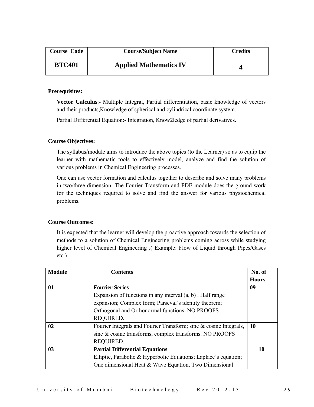| <b>Course Code</b> | <b>Course/Subject Name</b>    | Credits |
|--------------------|-------------------------------|---------|
| <b>BTC401</b>      | <b>Applied Mathematics IV</b> |         |

### **Prerequisites:**

**Vector Calculus**:- Multiple Integral, Partial differentiation, basic knowledge of vectors and their products,Knowledge of spherical and cylindrical coordinate system.

Partial Differential Equation:- Integration, Know2ledge of partial derivatives.

### **Course Objectives:**

The syllabus/module aims to introduce the above topics (to the Learner) so as to equip the learner with mathematic tools to effectively model, analyze and find the solution of various problems in Chemical Engineering processes.

One can use vector formation and calculus together to describe and solve many problems in two/three dimension. The Fourier Transform and PDE module does the ground work for the techniques required to solve and find the answer for various physiochemical problems.

#### **Course Outcomes:**

It is expected that the learner will develop the proactive approach towards the selection of methods to a solution of Chemical Engineering problems coming across while studying higher level of Chemical Engineering .( Example: Flow of Liquid through Pipes/Gases etc.)

| <b>Module</b> | <b>Contents</b>                                                   | No. of       |
|---------------|-------------------------------------------------------------------|--------------|
|               |                                                                   | <b>Hours</b> |
| 01            | <b>Fourier Series</b>                                             | 09           |
|               | Expansion of functions in any interval $(a, b)$ . Half range      |              |
|               | expansion; Complex form; Parseval's identity theorem;             |              |
|               | Orthogonal and Orthonormal functions. NO PROOFS                   |              |
|               | REQUIRED.                                                         |              |
| 02            | Fourier Integrals and Fourier Transform; sine & cosine Integrals, | <b>10</b>    |
|               | sine & cosine transforms, complex transforms. NO PROOFS           |              |
|               | REQUIRED.                                                         |              |
| 03            | <b>Partial Differential Equations</b>                             | 10           |
|               | Elliptic, Parabolic & Hyperbolic Equations; Laplace's equation;   |              |
|               | One dimensional Heat & Wave Equation, Two Dimensional             |              |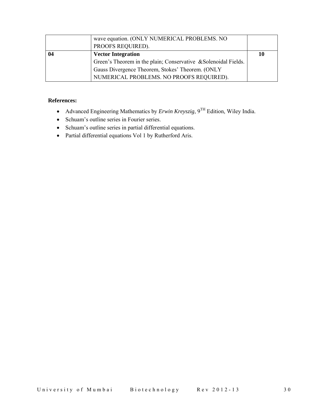| wave equation. (ONLY NUMERICAL PROBLEMS. NO                     |    |
|-----------------------------------------------------------------|----|
| PROOFS REQUIRED).                                               |    |
| <b>Vector Integration</b>                                       | 10 |
| Green's Theorem in the plain; Conservative & Solenoidal Fields. |    |
| Gauss Divergence Theorem, Stokes' Theorem. (ONLY                |    |
| NUMERICAL PROBLEMS. NO PROOFS REQUIRED).                        |    |

- Advanced Engineering Mathematics by *Erwin Kreyszig*, 9TH Edition, Wiley India.
- Schuam's outline series in Fourier series.
- Schuam's outline series in partial differential equations.
- Partial differential equations Vol 1 by Rutherford Aris.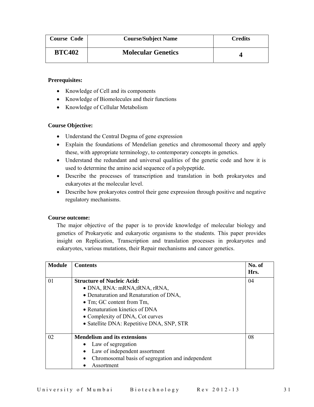| <b>Course Code</b> | <b>Course/Subject Name</b> | <b>Credits</b> |
|--------------------|----------------------------|----------------|
| <b>BTC402</b>      | <b>Molecular Genetics</b>  |                |

### **Prerequisites:**

- Knowledge of Cell and its components
- Knowledge of Biomolecules and their functions
- Knowledge of Cellular Metabolism

### **Course Objective:**

- Understand the Central Dogma of gene expression
- Explain the foundations of Mendelian genetics and chromosomal theory and apply these, with appropriate terminology, to contemporary concepts in genetics.
- Understand the redundant and universal qualities of the genetic code and how it is used to determine the amino acid sequence of a polypeptide.
- Describe the processes of transcription and translation in both prokaryotes and eukaryotes at the molecular level.
- Describe how prokaryotes control their gene expression through positive and negative regulatory mechanisms.

### **Course outcome:**

The major objective of the paper is to provide knowledge of molecular biology and genetics of Prokaryotic and eukaryotic organisms to the students. This paper provides insight on Replication, Transcription and translation processes in prokaryotes and eukaryotes, various mutations, their Repair mechanisms and cancer genetics.

| <b>Module</b> | <b>Contents</b>                                  | No. of<br>Hrs. |
|---------------|--------------------------------------------------|----------------|
| 01            | <b>Structure of Nucleic Acid:</b>                | 04             |
|               | $\bullet$ DNA, RNA: mRNA, tRNA, rRNA,            |                |
|               | • Denaturation and Renaturation of DNA,          |                |
|               | $\bullet$ Tm; GC content from Tm,                |                |
|               | • Renaturation kinetics of DNA                   |                |
|               | • Complexity of DNA, Cot curves                  |                |
|               | • Satellite DNA: Repetitive DNA, SNP, STR        |                |
| 02            | <b>Mendelism and its extensions</b>              | 08             |
|               | • Law of segregation                             |                |
|               | Law of independent assortment                    |                |
|               | Chromosomal basis of segregation and independent |                |
|               | Assortment                                       |                |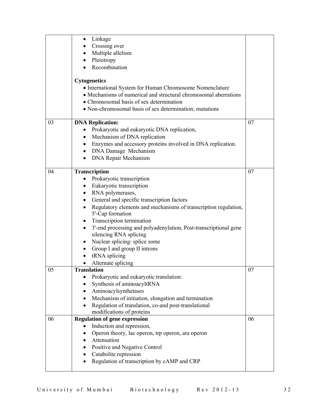|    | Linkage                                                                                                     |    |
|----|-------------------------------------------------------------------------------------------------------------|----|
|    | Crossing over                                                                                               |    |
|    | Multiple allelism                                                                                           |    |
|    | Pleiotropy<br>$\bullet$                                                                                     |    |
|    | Recombination                                                                                               |    |
|    | <b>Cytogenetics</b>                                                                                         |    |
|    | • International System for Human Chromosome Nomenclature                                                    |    |
|    | • Mechanisms of numerical and structural chromosomal aberrations                                            |    |
|    | • Chromosomal basis of sex determination                                                                    |    |
|    | • Non-chromosomal basis of sex determination; mutations                                                     |    |
| 03 | <b>DNA Replication:</b>                                                                                     | 07 |
|    | Prokaryotic and eukaryotic DNA replication,                                                                 |    |
|    | Mechanism of DNA replication                                                                                |    |
|    | Enzymes and accessory proteins involved in DNA replication.                                                 |    |
|    | DNA Damage Mechanism<br>$\bullet$                                                                           |    |
|    | <b>DNA Repair Mechanism</b>                                                                                 |    |
|    |                                                                                                             |    |
| 04 | <b>Transcription</b>                                                                                        | 07 |
|    | Prokaryotic transcription<br>$\bullet$<br>Eukaryotic transcription<br>$\bullet$                             |    |
|    | RNA polymerases,                                                                                            |    |
|    | General and specific transcription factors<br>$\bullet$                                                     |    |
|    | Regulatory elements and mechanisms of transcription regulation,<br>$\bullet$                                |    |
|    | 5'-Cap formation                                                                                            |    |
|    | Transcription termination<br>٠                                                                              |    |
|    | 3'-end processing and polyadenylation, Post-transcriptional gene<br>$\bullet$                               |    |
|    | silencing RNA splicing                                                                                      |    |
|    | Nuclear splicing: splice some<br>$\bullet$                                                                  |    |
|    | Group I and group II introns                                                                                |    |
|    | tRNA splicing<br>$\bullet$                                                                                  |    |
|    | Alternate splicing                                                                                          |    |
| 05 | <b>Translation</b>                                                                                          | 07 |
|    | Prokaryotic and eukaryotic translation:                                                                     |    |
|    | Synthesis of aminoacyltRNA                                                                                  |    |
|    | Aminoacylsynthetases                                                                                        |    |
|    | Mechanism of initiation, elongation and termination<br>Regulation of translation, co-and post-translational |    |
|    | modifications of proteins                                                                                   |    |
| 06 | <b>Regulation of gene expression</b>                                                                        | 06 |
|    | Induction and repression,                                                                                   |    |
|    | Operon theory, lac operon, trp operon, ara operon                                                           |    |
|    | Attenuation                                                                                                 |    |
|    | Positive and Negative Control                                                                               |    |
|    | Catabolite repression                                                                                       |    |
|    | Regulation of transcription by cAMP and CRP                                                                 |    |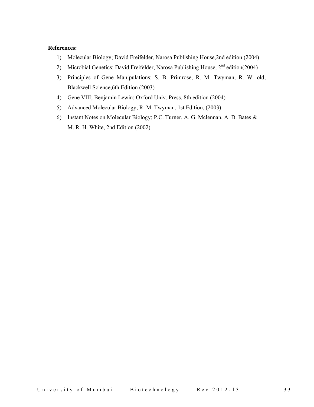- 1) Molecular Biology; David Freifelder, Narosa Publishing House,2nd edition (2004)
- 2) Microbial Genetics; David Freifelder, Narosa Publishing House, 2<sup>nd</sup> edition(2004)
- 3) Principles of Gene Manipulations; S. B. Primrose, R. M. Twyman, R. W. old, Blackwell Science,6th Edition (2003)
- 4) Gene VIII; Benjamin Lewin; Oxford Univ. Press, 8th edition (2004)
- 5) Advanced Molecular Biology; R. M. Twyman, 1st Edition, (2003)
- 6) Instant Notes on Molecular Biology; P.C. Turner, A. G. Mclennan, A. D. Bates & M. R. H. White, 2nd Edition (2002)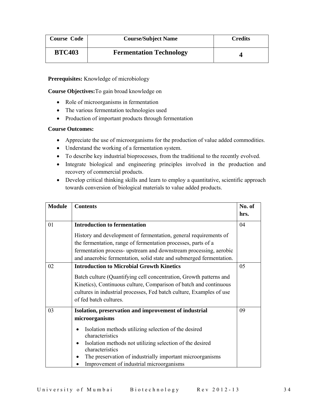| <b>Course Code</b> | <b>Course/Subject Name</b>     | <b>Credits</b> |
|--------------------|--------------------------------|----------------|
| <b>BTC403</b>      | <b>Fermentation Technology</b> |                |

### **Prerequisites:** Knowledge of microbiology

**Course Objectives:**To gain broad knowledge on

- Role of microorganisms in fermentation
- The various fermentation technologies used
- Production of important products through fermentation

### **Course Outcomes:**

- Appreciate the use of microorganisms for the production of value added commodities.
- Understand the working of a fermentation system.
- To describe key industrial bioprocesses, from the traditional to the recently evolved.
- Integrate biological and engineering principles involved in the production and recovery of commercial products.
- Develop critical thinking skills and learn to employ a quantitative, scientific approach towards conversion of biological materials to value added products.

| <b>Module</b> | <b>Contents</b>                                                                  | No. of |
|---------------|----------------------------------------------------------------------------------|--------|
|               |                                                                                  | hrs.   |
| 01            | <b>Introduction to fermentation</b>                                              | 04     |
|               | History and development of fermentation, general requirements of                 |        |
|               | the fermentation, range of fermentation processes, parts of a                    |        |
|               | fermentation process- upstream and downstream processing, aerobic                |        |
|               | and anaerobic fermentation, solid state and submerged fermentation.              |        |
| 02            | <b>Introduction to Microbial Growth Kinetics</b>                                 | 05     |
|               | Batch culture (Quantifying cell concentration, Growth patterns and               |        |
|               | Kinetics), Continuous culture, Comparison of batch and continuous                |        |
|               | cultures in industrial processes, Fed batch culture, Examples of use             |        |
|               | of fed batch cultures.                                                           |        |
| 03            | Isolation, preservation and improvement of industrial                            | 09     |
|               | microorganisms                                                                   |        |
|               | Isolation methods utilizing selection of the desired<br>$\bullet$                |        |
|               | characteristics                                                                  |        |
|               | Isolation methods not utilizing selection of the desired<br>٠<br>characteristics |        |
|               | The preservation of industrially important microorganisms                        |        |
|               | Improvement of industrial microorganisms                                         |        |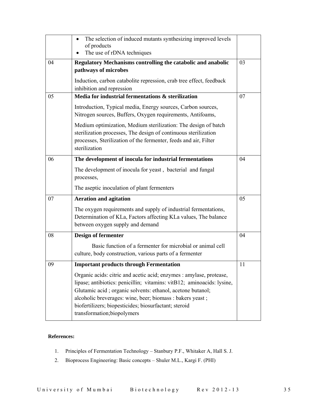|    | The selection of induced mutants synthesizing improved levels<br>of products                                                                                                                                                                                                                                                                                     |    |
|----|------------------------------------------------------------------------------------------------------------------------------------------------------------------------------------------------------------------------------------------------------------------------------------------------------------------------------------------------------------------|----|
|    | The use of rDNA techniques                                                                                                                                                                                                                                                                                                                                       |    |
| 04 | Regulatory Mechanisms controlling the catabolic and anabolic                                                                                                                                                                                                                                                                                                     | 03 |
|    | pathways of microbes                                                                                                                                                                                                                                                                                                                                             |    |
|    | Induction, carbon catabolite repression, crab tree effect, feedback<br>inhibition and repression                                                                                                                                                                                                                                                                 |    |
| 05 | Media for industrial fermentations & sterilization                                                                                                                                                                                                                                                                                                               | 07 |
|    | Introduction, Typical media, Energy sources, Carbon sources,<br>Nitrogen sources, Buffers, Oxygen requirements, Antifoams,                                                                                                                                                                                                                                       |    |
|    | Medium optimization, Medium sterilization: The design of batch<br>sterilization processes, The design of continuous sterilization<br>processes, Sterilization of the fermenter, feeds and air, Filter<br>sterilization                                                                                                                                           |    |
| 06 | The development of inocula for industrial fermentations                                                                                                                                                                                                                                                                                                          | 04 |
|    | The development of inocula for yeast, bacterial and fungal<br>processes,                                                                                                                                                                                                                                                                                         |    |
|    | The aseptic inoculation of plant fermenters                                                                                                                                                                                                                                                                                                                      |    |
| 07 | <b>Aeration and agitation</b>                                                                                                                                                                                                                                                                                                                                    | 05 |
|    | The oxygen requirements and supply of industrial fermentations,<br>Determination of KLa, Factors affecting KLa values, The balance<br>between oxygen supply and demand                                                                                                                                                                                           |    |
| 08 | <b>Design of fermenter</b>                                                                                                                                                                                                                                                                                                                                       | 04 |
|    | Basic function of a fermenter for microbial or animal cell<br>culture, body construction, various parts of a fermenter                                                                                                                                                                                                                                           |    |
| 09 | <b>Important products through Fermentation</b>                                                                                                                                                                                                                                                                                                                   | 11 |
|    | Organic acids: citric and acetic acid; enzymes : amylase, protease,<br>lipase; antibiotics: penicillin; vitamins: vitB12; aminoacids: lysine,<br>Glutamic acid; organic solvents: ethanol, acetone butanol;<br>alcoholic breverages: wine, beer; biomass : bakers yeast ;<br>biofertilizers; biopesticides; biosurfactant; steroid<br>transformation;biopolymers |    |

- 1. Principles of Fermentation Technology Stanbury P.F., Whitaker A, Hall S. J.
- 2. Bioprocess Engineering: Basic concepts Shuler M.L., Kargi F. (PHI)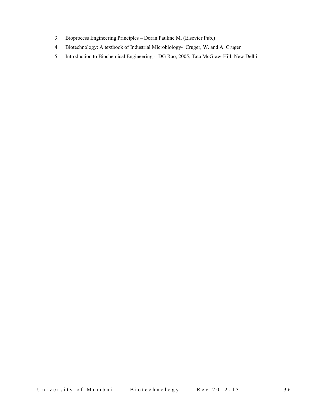- 3. Bioprocess Engineering Principles Doran Pauline M. (Elsevier Pub.)
- 4. Biotechnology: A textbook of Industrial Microbiology- Cruger, W. and A. Cruger
- 5. Introduction to Biochemical Engineering DG Rao, 2005, Tata McGraw-Hill, New Delhi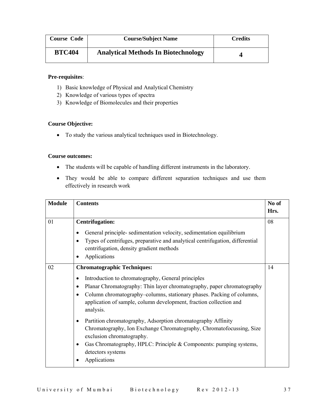| <b>Course Code</b> | <b>Course/Subject Name</b>                 | <b>Credits</b> |
|--------------------|--------------------------------------------|----------------|
| <b>BTC404</b>      | <b>Analytical Methods In Biotechnology</b> |                |

### **Pre-requisites**:

- 1) Basic knowledge of Physical and Analytical Chemistry
- 2) Knowledge of various types of spectra
- 3) Knowledge of Biomolecules and their properties

### **Course Objective:**

• To study the various analytical techniques used in Biotechnology.

### **Course outcomes:**

- The students will be capable of handling different instruments in the laboratory.
- They would be able to compare different separation techniques and use them effectively in research work

| <b>Module</b> | <b>Contents</b>                                                                                                                                                                                                                                                                                                                                       | No of<br>Hrs. |
|---------------|-------------------------------------------------------------------------------------------------------------------------------------------------------------------------------------------------------------------------------------------------------------------------------------------------------------------------------------------------------|---------------|
| 01            | <b>Centrifugation:</b><br>General principle- sedimentation velocity, sedimentation equilibrium<br>٠<br>Types of centrifuges, preparative and analytical centrifugation, differential<br>$\bullet$<br>centrifugation, density gradient methods<br>Applications<br>٠                                                                                    | 08            |
| 02            | <b>Chromatographic Techniques:</b><br>Introduction to chromatography, General principles<br>٠<br>Planar Chromatography: Thin layer chromatography, paper chromatography<br>٠<br>Column chromatography-columns, stationary phases. Packing of columns,<br>$\bullet$<br>application of sample, column development, fraction collection and<br>analysis. | 14            |
|               | Partition chromatography, Adsorption chromatography Affinity<br>٠<br>Chromatography, Ion Exchange Chromatography, Chromatofocussing, Size<br>exclusion chromatography.<br>Gas Chromatography, HPLC: Principle & Components: pumping systems,<br>$\bullet$<br>detectors systems<br>Applications                                                        |               |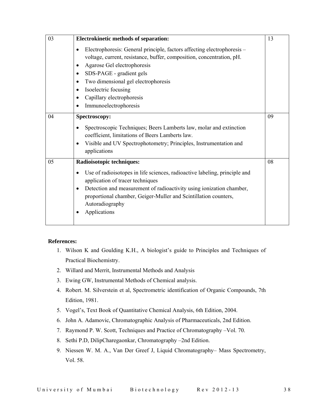| 03 | <b>Electrokinetic methods of separation:</b><br>Electrophoresis: General principle, factors affecting electrophoresis -<br>voltage, current, resistance, buffer, composition, concentration, pH.<br>Agarose Gel electrophoresis<br>٠<br>SDS-PAGE - gradient gels<br>$\bullet$<br>Two dimensional gel electrophoresis<br>٠<br>Isoelectric focusing<br>$\bullet$<br>Capillary electrophoresis<br>$\bullet$ | 13 |
|----|----------------------------------------------------------------------------------------------------------------------------------------------------------------------------------------------------------------------------------------------------------------------------------------------------------------------------------------------------------------------------------------------------------|----|
|    | Immunoelectrophoresis                                                                                                                                                                                                                                                                                                                                                                                    |    |
| 04 | Spectroscopy:<br>Spectroscopic Techniques; Beers Lamberts law, molar and extinction<br>coefficient, limitations of Beers Lamberts law.<br>Visible and UV Spectrophotometry; Principles, Instrumentation and<br>$\bullet$<br>applications                                                                                                                                                                 | 09 |
| 05 | Radioisotopic techniques:<br>Use of radioisotopes in life sciences, radioactive labeling, principle and<br>$\bullet$<br>application of tracer techniques<br>Detection and measurement of radioactivity using ionization chamber,<br>٠<br>proportional chamber, Geiger-Muller and Scintillation counters,<br>Autoradiography<br>Applications                                                              | 08 |

- 1. Wilson K and Goulding K.H., A biologist's guide to Principles and Techniques of Practical Biochemistry.
- 2. Willard and Merrit, Instrumental Methods and Analysis
- 3. Ewing GW, Instrumental Methods of Chemical analysis.
- 4. Robert. M. Silverstein et al, Spectrometric identification of Organic Compounds, 7th Edition, 1981.
- 5. Vogel's, Text Book of Quantitative Chemical Analysis, 6th Edition, 2004.
- 6. John A. Adamovic, Chromatographic Analysis of Pharmaceuticals, 2nd Edition.
- 7. Raymond P. W. Scott, Techniques and Practice of Chromatography –Vol. 70.
- 8. Sethi P.D, DilipCharegaonkar, Chromatography –2nd Edition.
- 9. Niessen W. M. A., Van Der Greef J, Liquid Chromatography– Mass Spectrometry, Vol. 58.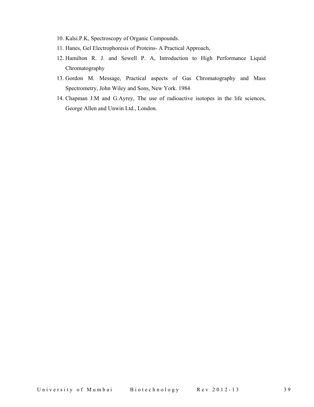- 10. Kalsi.P.K, Spectroscopy of Organic Compounds.
- 11. Hanes, Gel Electrophoresis of Proteins- A Practical Approach,
- 12. Hamilton R. J. and Sewell P. A, Introduction to High Performance Liquid Chromatography
- 13. Gordon M. Message, Practical aspects of Gas Chromatography and Mass Spectrometry, John Wiley and Sons, New York. 1984
- 14. Chapman J.M and G.Ayrey, The use of radioactive isotopes in the life sciences, George Allen and Unwin Ltd., London.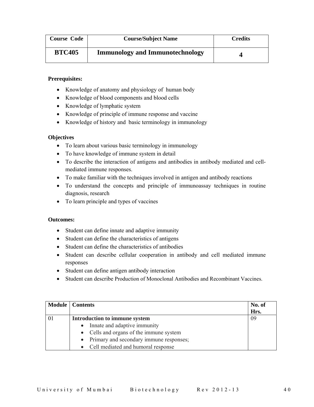| <b>Course Code</b> | <b>Course/Subject Name</b>             | <b>Credits</b> |
|--------------------|----------------------------------------|----------------|
| <b>BTC405</b>      | <b>Immunology and Immunotechnology</b> |                |

### **Prerequisites:**

- Knowledge of anatomy and physiology of human body
- Knowledge of blood components and blood cells
- Knowledge of lymphatic system
- Knowledge of principle of immune response and vaccine
- Knowledge of history and basic terminology in immunology

### **Objectives**

- To learn about various basic terminology in immunology
- To have knowledge of immune system in detail
- To describe the interaction of antigens and antibodies in antibody mediated and cellmediated immune responses.
- To make familiar with the techniques involved in antigen and antibody reactions
- To understand the concepts and principle of immunoassay techniques in routine diagnosis, research
- To learn principle and types of vaccines

### **Outcomes:**

- Student can define innate and adaptive immunity
- Student can define the characteristics of antigens
- Student can define the characteristics of antibodies
- Student can describe cellular cooperation in antibody and cell mediated immune responses
- Student can define antigen antibody interaction
- Student can describe Production of Monoclonal Antibodies and Recombinant Vaccines.

|    | <b>Module</b>   Contents                | No. of |
|----|-----------------------------------------|--------|
|    |                                         | Hrs.   |
| 01 | Introduction to immune system           | -09    |
|    | Innate and adaptive immunity            |        |
|    | • Cells and organs of the immune system |        |
|    | Primary and secondary immune responses; |        |
|    | Cell mediated and humoral response      |        |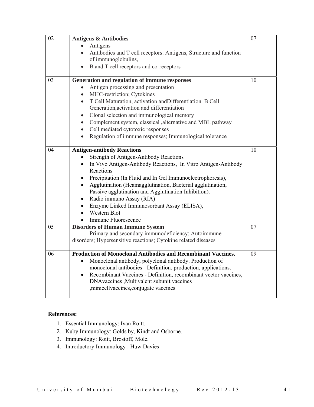| 02 | <b>Antigens &amp; Antibodies</b>                                               | 07 |
|----|--------------------------------------------------------------------------------|----|
|    | Antigens<br>$\bullet$                                                          |    |
|    | Antibodies and T cell receptors: Antigens, Structure and function<br>$\bullet$ |    |
|    | of immunoglobulins,                                                            |    |
|    | B and T cell receptors and co-receptors<br>$\bullet$                           |    |
| 03 | Generation and regulation of immune responses                                  | 10 |
|    | Antigen processing and presentation                                            |    |
|    | MHC-restriction; Cytokines<br>$\bullet$                                        |    |
|    | T Cell Maturation, activation and Differentiation B Cell<br>$\bullet$          |    |
|    | Generation, activation and differentiation                                     |    |
|    | Clonal selection and immunological memory<br>$\bullet$                         |    |
|    | Complement system, classical , alternative and MBL pathway<br>$\bullet$        |    |
|    | Cell mediated cytotoxic responses<br>$\bullet$                                 |    |
|    | Regulation of immune responses; Immunological tolerance<br>$\bullet$           |    |
| 04 | <b>Antigen-antibody Reactions</b>                                              | 10 |
|    | <b>Strength of Antigen-Antibody Reactions</b>                                  |    |
|    | In Vivo Antigen-Antibody Reactions, In Vitro Antigen-Antibody                  |    |
|    | Reactions                                                                      |    |
|    | Precipitation (In Fluid and In Gel Immunoelectrophoresis),<br>$\bullet$        |    |
|    | Agglutination (Heamagglutination, Bacterial agglutination,                     |    |
|    | Passive agglutination and Agglutination Inhibition).                           |    |
|    | Radio immuno Assay (RIA)<br>$\bullet$                                          |    |
|    | Enzyme Linked Immunosorbant Assay (ELISA),<br>$\bullet$                        |    |
|    | Western Blot                                                                   |    |
|    | Immune Fluorescence                                                            |    |
| 05 | <b>Disorders of Human Immune System</b>                                        | 07 |
|    | Primary and secondary immunodeficiency; Autoimmune                             |    |
|    | disorders; Hypersensitive reactions; Cytokine related diseases                 |    |
| 06 | <b>Production of Monoclonal Antibodies and Recombinant Vaccines.</b>           | 09 |
|    | Monoclonal antibody, polyclonal antibody. Production of<br>$\bullet$           |    |
|    | monoclonal antibodies - Definition, production, applications.                  |    |
|    | Recombinant Vaccines - Definition, recombinant vector vaccines,<br>$\bullet$   |    |
|    | DNAvaccines , Multivalent subunit vaccines                                     |    |
|    | ,minicellvaccines,conjugate vaccines                                           |    |
|    |                                                                                |    |

- 1. Essential Immunology: Ivan Roitt.
- 2. Kuby Immunology: Golds by, Kindt and Osborne.
- 3. Immunology: Roitt, Brostoff, Mole.
- 4. Introductory Immunology : Huw Davies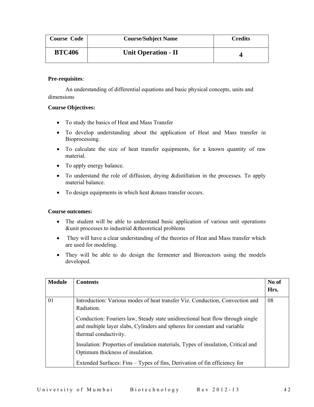| <b>Course Code</b> | <b>Course/Subject Name</b> | <b>Credits</b> |
|--------------------|----------------------------|----------------|
| <b>BTC406</b>      | Unit Operation - II        |                |

### **Pre-requisites**:

 An understanding of differential equations and basic physical concepts, units and dimensions

### **Course Objectives:**

- To study the basics of Heat and Mass Transfer
- To develop understanding about the application of Heat and Mass transfer in Bioprocessing.
- To calculate the size of heat transfer equipments, for a known quantity of raw material.
- To apply energy balance.
- To understand the role of diffusion, drying &distillation in the processes. To apply material balance.
- To design equipments in which heat &mass transfer occurs.

### **Course outcomes:**

- The student will be able to understand basic application of various unit operations &unit processes to industrial &theoretical problems
- They will have a clear understanding of the theories of Heat and Mass transfer which are used for modeling.
- They will be able to do design the fermenter and Bioreactors using the models developed.

| <b>Module</b> | <b>Contents</b>                                                                                                                                                                      | No of |
|---------------|--------------------------------------------------------------------------------------------------------------------------------------------------------------------------------------|-------|
|               |                                                                                                                                                                                      | Hrs.  |
| 01            | Introduction: Various modes of heat transfer Viz. Conduction, Convection and<br>Radiation.                                                                                           | 08    |
|               | Conduction: Fouriers law, Steady state unidirectional heat flow through single<br>and multiple layer slabs, Cylinders and spheres for constant and variable<br>thermal conductivity. |       |
|               | Insulation: Properties of insulation materials, Types of insulation, Critical and<br>Optimum thickness of insulation.                                                                |       |
|               | Extended Surfaces: Fins – Types of fins, Derivation of fin efficiency for                                                                                                            |       |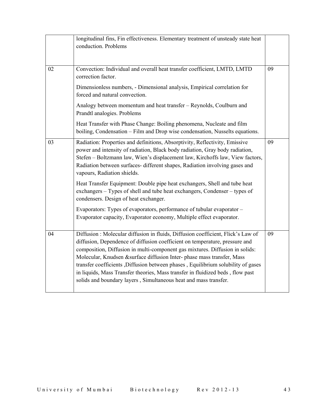|    | longitudinal fins, Fin effectiveness. Elementary treatment of unsteady state heat<br>conduction. Problems                                                                                                                                                                                                                                                                                                                                                                                                                                                            |    |
|----|----------------------------------------------------------------------------------------------------------------------------------------------------------------------------------------------------------------------------------------------------------------------------------------------------------------------------------------------------------------------------------------------------------------------------------------------------------------------------------------------------------------------------------------------------------------------|----|
| 02 | Convection: Individual and overall heat transfer coefficient, LMTD, LMTD<br>correction factor.                                                                                                                                                                                                                                                                                                                                                                                                                                                                       | 09 |
|    | Dimensionless numbers, - Dimensional analysis, Empirical correlation for<br>forced and natural convection.                                                                                                                                                                                                                                                                                                                                                                                                                                                           |    |
|    | Analogy between momentum and heat transfer - Reynolds, Coulburn and<br>Prandtl analogies. Problems                                                                                                                                                                                                                                                                                                                                                                                                                                                                   |    |
|    | Heat Transfer with Phase Change: Boiling phenomena, Nucleate and film<br>boiling, Condensation - Film and Drop wise condensation, Nusselts equations.                                                                                                                                                                                                                                                                                                                                                                                                                |    |
| 03 | Radiation: Properties and definitions, Absorptivity, Reflectivity, Emissive<br>power and intensity of radiation, Black body radiation, Gray body radiation,<br>Stefen - Boltzmann law, Wien's displacement law, Kirchoffs law, View factors,<br>Radiation between surfaces- different shapes, Radiation involving gases and<br>vapours, Radiation shields.                                                                                                                                                                                                           | 09 |
|    | Heat Transfer Equipment: Double pipe heat exchangers, Shell and tube heat<br>exchangers - Types of shell and tube heat exchangers, Condenser - types of<br>condensers. Design of heat exchanger.                                                                                                                                                                                                                                                                                                                                                                     |    |
|    | Evaporators: Types of evaporators, performance of tubular evaporator -<br>Evaporator capacity, Evaporator economy, Multiple effect evaporator.                                                                                                                                                                                                                                                                                                                                                                                                                       |    |
| 04 | Diffusion : Molecular diffusion in fluids, Diffusion coefficient, Flick's Law of<br>diffusion, Dependence of diffusion coefficient on temperature, pressure and<br>composition, Diffusion in multi-component gas mixtures. Diffusion in solids:<br>Molecular, Knudsen &surface diffusion Inter-phase mass transfer, Mass<br>transfer coefficients , Diffusion between phases , Equilibrium solubility of gases<br>in liquids, Mass Transfer theories, Mass transfer in fluidized beds, flow past<br>solids and boundary layers, Simultaneous heat and mass transfer. | 09 |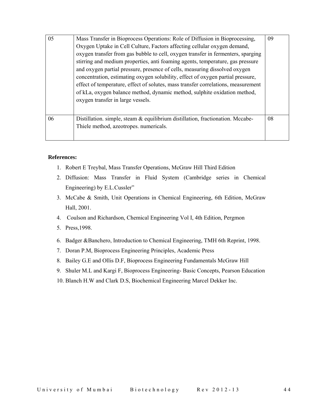| 05 | Mass Transfer in Bioprocess Operations: Role of Diffusion in Bioprocessing,<br>Oxygen Uptake in Cell Culture, Factors affecting cellular oxygen demand,<br>oxygen transfer from gas bubble to cell, oxygen transfer in fermenters, sparging<br>stirring and medium properties, anti foaming agents, temperature, gas pressure<br>and oxygen partial pressure, presence of cells, measuring dissolved oxygen<br>concentration, estimating oxygen solubility, effect of oxygen partial pressure,<br>effect of temperature, effect of solutes, mass transfer correlations, measurement<br>of kLa, oxygen balance method, dynamic method, sulphite oxidation method,<br>oxygen transfer in large vessels. | 09 |
|----|-------------------------------------------------------------------------------------------------------------------------------------------------------------------------------------------------------------------------------------------------------------------------------------------------------------------------------------------------------------------------------------------------------------------------------------------------------------------------------------------------------------------------------------------------------------------------------------------------------------------------------------------------------------------------------------------------------|----|
| 06 | Distillation. simple, steam & equilibrium distillation, fractionation. Mccabe-<br>Thiele method, azeotropes. numericals.                                                                                                                                                                                                                                                                                                                                                                                                                                                                                                                                                                              | 08 |

- 1. Robert E Treybal, Mass Transfer Operations, McGraw Hill Third Edition
- 2. Diffusion: Mass Transfer in Fluid System (Cambridge series in Chemical Engineering) by E.L.Cussler"
- 3. McCabe & Smith, Unit Operations in Chemical Engineering, 6th Edition, McGraw Hall, 2001.
- 4. Coulson and Richardson, Chemical Engineering Vol I, 4th Edition, Pergmon
- 5. Press,1998.
- 6. Badger &Banchero, Introduction to Chemical Engineering, TMH 6th Reprint, 1998.
- 7. Doran P.M, Bioprocess Engineering Principles, Academic Press
- 8. Bailey G.E and Ollis D.F, Bioprocess Engineering Fundamentals McGraw Hill
- 9. Shuler M.L and Kargi F, Bioprocess Engineering- Basic Concepts, Pearson Education
- 10. Blanch H.W and Clark D.S, Biochemical Engineering Marcel Dekker Inc.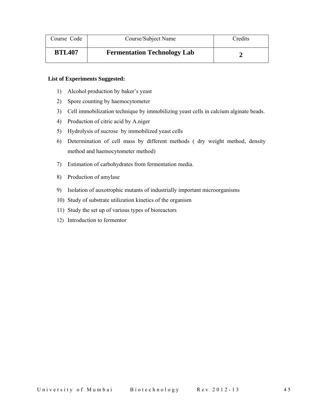| Course Code   | Course/Subject Name                | Credits |
|---------------|------------------------------------|---------|
| <b>BTL407</b> | <b>Fermentation Technology Lab</b> |         |

- 1) Alcohol production by baker's yeast
- 2) Spore counting by haemocytometer
- 3) Cell immobilization technique by immobilizing yeast cells in calcium alginate beads.
- 4) Production of citric acid by A.niger
- 5) Hydrolysis of sucrose by immobilized yeast cells
- 6) Determination of cell mass by different methods ( dry weight method, density method and haemocytometer method)
- 7) Estimation of carbohydrates from fermentation media.
- 8) Production of amylase
- 9) Isolation of auxotrophic mutants of industrially important microorganisms
- 10) Study of substrate utilization kinetics of the organism
- 11) Study the set up of various types of bioreactors
- 12) Introduction to fermentor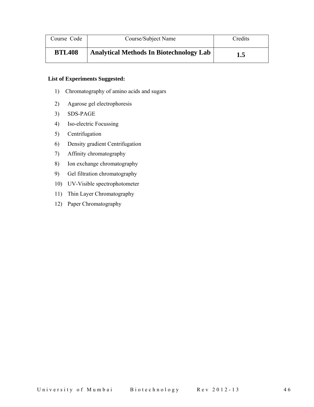| Course Code   | Course/Subject Name                            | Credits |
|---------------|------------------------------------------------|---------|
| <b>BTL408</b> | <b>Analytical Methods In Biotechnology Lab</b> | 1.5     |

- 1) Chromatography of amino acids and sugars
- 2) Agarose gel electrophoresis
- 3) SDS-PAGE
- 4) Iso-electric Focussing
- 5) Centrifugation
- 6) Density gradient Centrifugation
- 7) Affinity chromatography
- 8) Ion exchange chromatography
- 9) Gel filtration chromatography
- 10) UV-Visible spectrophotometer
- 11) Thin Layer Chromatography
- 12) Paper Chromatography